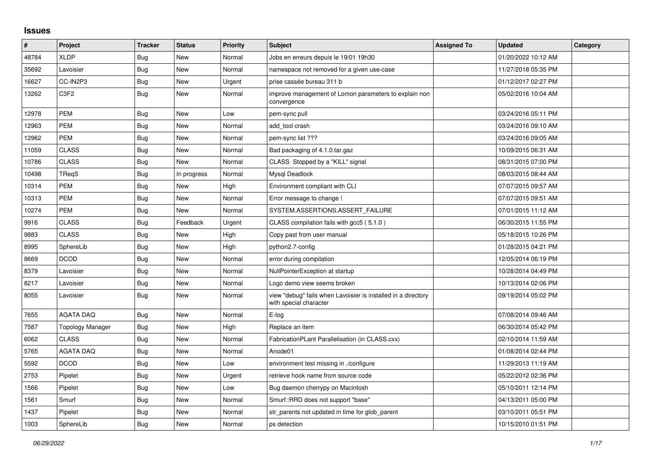## **Issues**

| #     | Project          | <b>Tracker</b> | <b>Status</b> | <b>Priority</b> | <b>Subject</b>                                                                          | <b>Assigned To</b> | <b>Updated</b>      | Category |
|-------|------------------|----------------|---------------|-----------------|-----------------------------------------------------------------------------------------|--------------------|---------------------|----------|
| 48784 | <b>XLDP</b>      | Bug            | <b>New</b>    | Normal          | Jobs en erreurs depuis le 19/01 19h30                                                   |                    | 01/20/2022 10:12 AM |          |
| 35692 | Lavoisier        | Bug            | <b>New</b>    | Normal          | namespace not removed for a given use-case                                              |                    | 11/27/2018 05:35 PM |          |
| 16627 | CC-IN2P3         | Bug            | <b>New</b>    | Urgent          | prise cassée bureau 311 b                                                               |                    | 01/12/2017 02:27 PM |          |
| 13262 | C <sub>3F2</sub> | <b>Bug</b>     | New           | Normal          | improve management of Lomon parameters to explain non<br>convergence                    |                    | 05/02/2016 10:04 AM |          |
| 12978 | <b>PEM</b>       | Bug            | <b>New</b>    | Low             | pem-sync pull                                                                           |                    | 03/24/2016 05:11 PM |          |
| 12963 | <b>PEM</b>       | Bug            | <b>New</b>    | Normal          | add tool crash                                                                          |                    | 03/24/2016 09:10 AM |          |
| 12962 | <b>PEM</b>       | Bug            | <b>New</b>    | Normal          | pem-sync list ???                                                                       |                    | 03/24/2016 09:05 AM |          |
| 11059 | <b>CLASS</b>     | <b>Bug</b>     | New           | Normal          | Bad packaging of 4.1.0.tar.gaz                                                          |                    | 10/09/2015 06:31 AM |          |
| 10786 | <b>CLASS</b>     | <b>Bug</b>     | <b>New</b>    | Normal          | CLASS Stopped by a "KILL" signal                                                        |                    | 08/31/2015 07:00 PM |          |
| 10498 | TReqS            | <b>Bug</b>     | In progress   | Normal          | Mysql Deadlock                                                                          |                    | 08/03/2015 08:44 AM |          |
| 10314 | <b>PEM</b>       | Bug            | <b>New</b>    | High            | Environment compliant with CLI                                                          |                    | 07/07/2015 09:57 AM |          |
| 10313 | <b>PEM</b>       | <b>Bug</b>     | <b>New</b>    | Normal          | Error message to change !                                                               |                    | 07/07/2015 09:51 AM |          |
| 10274 | <b>PEM</b>       | <b>Bug</b>     | <b>New</b>    | Normal          | SYSTEM.ASSERTIONS.ASSERT_FAILURE                                                        |                    | 07/01/2015 11:12 AM |          |
| 9916  | <b>CLASS</b>     | <b>Bug</b>     | Feedback      | Urgent          | CLASS compilation fails with gcc5 (5.1.0)                                               |                    | 06/30/2015 11:55 PM |          |
| 9883  | <b>CLASS</b>     | <b>Bug</b>     | New           | High            | Copy past from user manual                                                              |                    | 05/18/2015 10:26 PM |          |
| 8995  | SphereLib        | <b>Bug</b>     | <b>New</b>    | High            | python2.7-config                                                                        |                    | 01/28/2015 04:21 PM |          |
| 8669  | <b>DCOD</b>      | Bug            | <b>New</b>    | Normal          | error during compilation                                                                |                    | 12/05/2014 06:19 PM |          |
| 8379  | Lavoisier        | <b>Bug</b>     | <b>New</b>    | Normal          | NullPointerException at startup                                                         |                    | 10/28/2014 04:49 PM |          |
| 8217  | Lavoisier        | <b>Bug</b>     | <b>New</b>    | Normal          | Logo demo view seems broken                                                             |                    | 10/13/2014 02:06 PM |          |
| 8055  | Lavoisier        | <b>Bug</b>     | <b>New</b>    | Normal          | view "debug" fails when Lavoisier is installed in a directory<br>with special character |                    | 09/19/2014 05:02 PM |          |
| 7655  | <b>AGATA DAQ</b> | Bug            | <b>New</b>    | Normal          | E-log                                                                                   |                    | 07/08/2014 09:46 AM |          |
| 7587  | Topology Manager | <b>Bug</b>     | New           | High            | Replace an item                                                                         |                    | 06/30/2014 05:42 PM |          |
| 6062  | <b>CLASS</b>     | <b>Bug</b>     | <b>New</b>    | Normal          | FabricationPLant Parallelisation (in CLASS.cxx)                                         |                    | 02/10/2014 11:59 AM |          |
| 5765  | <b>AGATA DAQ</b> | Bug            | New           | Normal          | Anode01                                                                                 |                    | 01/08/2014 02:44 PM |          |
| 5592  | <b>DCOD</b>      | <b>Bug</b>     | New           | Low             | environment test missing in ./configure                                                 |                    | 11/29/2013 11:19 AM |          |
| 2753  | Pipelet          | <b>Bug</b>     | <b>New</b>    | Urgent          | retrieve hook name from source code                                                     |                    | 05/22/2012 02:36 PM |          |
| 1566  | Pipelet          | Bug            | <b>New</b>    | Low             | Bug daemon cherrypy on Macintosh                                                        |                    | 05/10/2011 12:14 PM |          |
| 1561  | Smurf            | <b>Bug</b>     | New           | Normal          | Smurf::RRD does not support "base"                                                      |                    | 04/13/2011 05:00 PM |          |
| 1437  | Pipelet          | <b>Bug</b>     | <b>New</b>    | Normal          | str_parents not updated in time for glob_parent                                         |                    | 03/10/2011 05:51 PM |          |
| 1003  | SphereLib        | <b>Bug</b>     | New           | Normal          | ps detection                                                                            |                    | 10/15/2010 01:51 PM |          |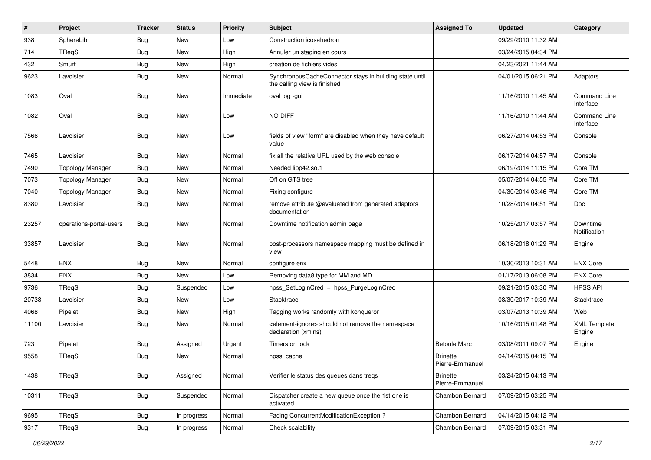| #     | Project                 | <b>Tracker</b> | <b>Status</b> | <b>Priority</b> | <b>Subject</b>                                                                            | <b>Assigned To</b>                 | <b>Updated</b>      | Category                         |
|-------|-------------------------|----------------|---------------|-----------------|-------------------------------------------------------------------------------------------|------------------------------------|---------------------|----------------------------------|
| 938   | SphereLib               | <b>Bug</b>     | <b>New</b>    | Low             | Construction icosahedron                                                                  |                                    | 09/29/2010 11:32 AM |                                  |
| 714   | TReqS                   | <b>Bug</b>     | New           | High            | Annuler un staging en cours                                                               |                                    | 03/24/2015 04:34 PM |                                  |
| 432   | Smurf                   | <b>Bug</b>     | <b>New</b>    | High            | creation de fichiers vides                                                                |                                    | 04/23/2021 11:44 AM |                                  |
| 9623  | Lavoisier               | <b>Bug</b>     | <b>New</b>    | Normal          | SynchronousCacheConnector stays in building state until<br>the calling view is finished   |                                    | 04/01/2015 06:21 PM | Adaptors                         |
| 1083  | Oval                    | <b>Bug</b>     | <b>New</b>    | Immediate       | oval log -gui                                                                             |                                    | 11/16/2010 11:45 AM | <b>Command Line</b><br>Interface |
| 1082  | Oval                    | Bug            | <b>New</b>    | Low             | NO DIFF                                                                                   |                                    | 11/16/2010 11:44 AM | <b>Command Line</b><br>Interface |
| 7566  | Lavoisier               | <b>Bug</b>     | <b>New</b>    | Low             | fields of view "form" are disabled when they have default<br>value                        |                                    | 06/27/2014 04:53 PM | Console                          |
| 7465  | Lavoisier               | <b>Bug</b>     | <b>New</b>    | Normal          | fix all the relative URL used by the web console                                          |                                    | 06/17/2014 04:57 PM | Console                          |
| 7490  | <b>Topology Manager</b> | <b>Bug</b>     | New           | Normal          | Needed libp42.so.1                                                                        |                                    | 06/19/2014 11:15 PM | Core TM                          |
| 7073  | <b>Topology Manager</b> | <b>Bug</b>     | <b>New</b>    | Normal          | Off on GTS tree                                                                           |                                    | 05/07/2014 04:55 PM | Core TM                          |
| 7040  | <b>Topology Manager</b> | <b>Bug</b>     | <b>New</b>    | Normal          | Fixing configure                                                                          |                                    | 04/30/2014 03:46 PM | Core TM                          |
| 8380  | Lavoisier               | <b>Bug</b>     | <b>New</b>    | Normal          | remove attribute @evaluated from generated adaptors<br>documentation                      |                                    | 10/28/2014 04:51 PM | Doc                              |
| 23257 | operations-portal-users | <b>Bug</b>     | <b>New</b>    | Normal          | Downtime notification admin page                                                          |                                    | 10/25/2017 03:57 PM | Downtime<br>Notification         |
| 33857 | Lavoisier               | <b>Bug</b>     | <b>New</b>    | Normal          | post-processors namespace mapping must be defined in<br>view                              |                                    | 06/18/2018 01:29 PM | Engine                           |
| 5448  | ENX                     | <b>Bug</b>     | New           | Normal          | configure enx                                                                             |                                    | 10/30/2013 10:31 AM | <b>ENX Core</b>                  |
| 3834  | ENX                     | <b>Bug</b>     | <b>New</b>    | Low             | Removing data8 type for MM and MD                                                         |                                    | 01/17/2013 06:08 PM | <b>ENX Core</b>                  |
| 9736  | TReqS                   | <b>Bug</b>     | Suspended     | Low             | hpss_SetLoginCred + hpss_PurgeLoginCred                                                   |                                    | 09/21/2015 03:30 PM | <b>HPSS API</b>                  |
| 20738 | Lavoisier               | <b>Bug</b>     | New           | Low             | Stacktrace                                                                                |                                    | 08/30/2017 10:39 AM | Stacktrace                       |
| 4068  | Pipelet                 | <b>Bug</b>     | <b>New</b>    | High            | Tagging works randomly with konqueror                                                     |                                    | 03/07/2013 10:39 AM | Web                              |
| 11100 | Lavoisier               | <b>Bug</b>     | <b>New</b>    | Normal          | <element-ignore> should not remove the namespace<br/>declaration (xmlns)</element-ignore> |                                    | 10/16/2015 01:48 PM | <b>XML Template</b><br>Engine    |
| 723   | Pipelet                 | <b>Bug</b>     | Assigned      | Urgent          | Timers on lock                                                                            | <b>Betoule Marc</b>                | 03/08/2011 09:07 PM | Engine                           |
| 9558  | TReqS                   | Bug            | <b>New</b>    | Normal          | hpss_cache                                                                                | <b>Brinette</b><br>Pierre-Emmanuel | 04/14/2015 04:15 PM |                                  |
| 1438  | TReqS                   | <b>Bug</b>     | Assigned      | Normal          | Verifier le status des queues dans treqs                                                  | <b>Brinette</b><br>Pierre-Emmanuel | 03/24/2015 04:13 PM |                                  |
| 10311 | TReqS                   | Bug            | Suspended     | Normal          | Dispatcher create a new queue once the 1st one is<br>activated                            | Chambon Bernard                    | 07/09/2015 03:25 PM |                                  |
| 9695  | TReqS                   | <b>Bug</b>     | In progress   | Normal          | Facing ConcurrentModificationException?                                                   | Chambon Bernard                    | 04/14/2015 04:12 PM |                                  |
| 9317  | TReqS                   | Bug            | In progress   | Normal          | Check scalability                                                                         | Chambon Bernard                    | 07/09/2015 03:31 PM |                                  |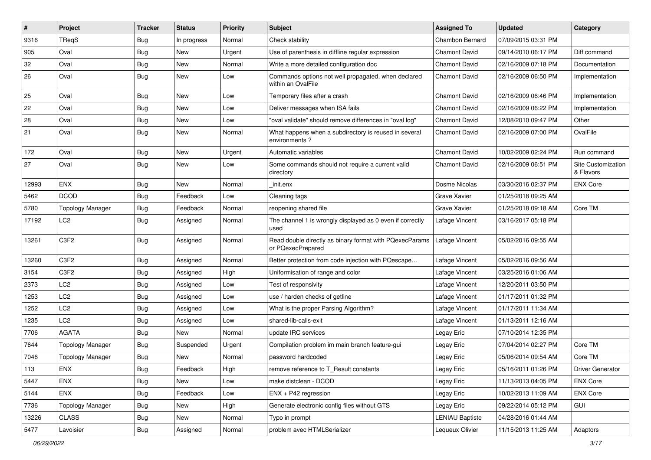| #     | Project                 | <b>Tracker</b> | <b>Status</b> | Priority | Subject                                                                      | <b>Assigned To</b>     | <b>Updated</b>      | Category                        |
|-------|-------------------------|----------------|---------------|----------|------------------------------------------------------------------------------|------------------------|---------------------|---------------------------------|
| 9316  | TReqS                   | <b>Bug</b>     | In progress   | Normal   | Check stability                                                              | Chambon Bernard        | 07/09/2015 03:31 PM |                                 |
| 905   | Oval                    | <b>Bug</b>     | <b>New</b>    | Urgent   | Use of parenthesis in diffline regular expression                            | <b>Chamont David</b>   | 09/14/2010 06:17 PM | Diff command                    |
| 32    | Oval                    | <b>Bug</b>     | New           | Normal   | Write a more detailed configuration doc                                      | <b>Chamont David</b>   | 02/16/2009 07:18 PM | Documentation                   |
| 26    | Oval                    | <b>Bug</b>     | New           | Low      | Commands options not well propagated, when declared<br>within an OvalFile    | <b>Chamont David</b>   | 02/16/2009 06:50 PM | Implementation                  |
| 25    | Oval                    | <b>Bug</b>     | <b>New</b>    | Low      | Temporary files after a crash                                                | <b>Chamont David</b>   | 02/16/2009 06:46 PM | Implementation                  |
| 22    | Oval                    | <b>Bug</b>     | New           | Low      | Deliver messages when ISA fails                                              | <b>Chamont David</b>   | 02/16/2009 06:22 PM | Implementation                  |
| 28    | Oval                    | <b>Bug</b>     | <b>New</b>    | Low      | "oval validate" should remove differences in "oval log"                      | <b>Chamont David</b>   | 12/08/2010 09:47 PM | Other                           |
| 21    | Oval                    | <b>Bug</b>     | New           | Normal   | What happens when a subdirectory is reused in several<br>environments?       | <b>Chamont David</b>   | 02/16/2009 07:00 PM | OvalFile                        |
| 172   | Oval                    | <b>Bug</b>     | <b>New</b>    | Urgent   | Automatic variables                                                          | <b>Chamont David</b>   | 10/02/2009 02:24 PM | Run command                     |
| 27    | Oval                    | Bug            | New           | Low      | Some commands should not require a current valid<br>directory                | <b>Chamont David</b>   | 02/16/2009 06:51 PM | Site Customization<br>& Flavors |
| 12993 | ENX                     | <b>Bug</b>     | <b>New</b>    | Normal   | init.enx                                                                     | Dosme Nicolas          | 03/30/2016 02:37 PM | <b>ENX Core</b>                 |
| 5462  | <b>DCOD</b>             | <b>Bug</b>     | Feedback      | Low      | Cleaning tags                                                                | Grave Xavier           | 01/25/2018 09:25 AM |                                 |
| 5780  | <b>Topology Manager</b> | <b>Bug</b>     | Feedback      | Normal   | reopening shared file                                                        | Grave Xavier           | 01/25/2018 09:18 AM | Core TM                         |
| 17192 | LC <sub>2</sub>         | <b>Bug</b>     | Assigned      | Normal   | The channel 1 is wrongly displayed as 0 even if correctly<br>used            | Lafage Vincent         | 03/16/2017 05:18 PM |                                 |
| 13261 | C3F2                    | Bug            | Assigned      | Normal   | Read double directly as binary format with PQexecParams<br>or PQexecPrepared | Lafage Vincent         | 05/02/2016 09:55 AM |                                 |
| 13260 | C3F2                    | <b>Bug</b>     | Assigned      | Normal   | Better protection from code injection with PQescape                          | Lafage Vincent         | 05/02/2016 09:56 AM |                                 |
| 3154  | C3F2                    | <b>Bug</b>     | Assigned      | High     | Uniformisation of range and color                                            | Lafage Vincent         | 03/25/2016 01:06 AM |                                 |
| 2373  | LC <sub>2</sub>         | <b>Bug</b>     | Assigned      | Low      | Test of responsivity                                                         | Lafage Vincent         | 12/20/2011 03:50 PM |                                 |
| 1253  | LC <sub>2</sub>         | <b>Bug</b>     | Assigned      | Low      | use / harden checks of getline                                               | Lafage Vincent         | 01/17/2011 01:32 PM |                                 |
| 1252  | LC <sub>2</sub>         | <b>Bug</b>     | Assigned      | Low      | What is the proper Parsing Algorithm?                                        | Lafage Vincent         | 01/17/2011 11:34 AM |                                 |
| 1235  | LC <sub>2</sub>         | <b>Bug</b>     | Assigned      | Low      | shared-lib-calls-exit                                                        | Lafage Vincent         | 01/13/2011 12:16 AM |                                 |
| 7706  | <b>AGATA</b>            | <b>Bug</b>     | New           | Normal   | update IRC services                                                          | Legay Eric             | 07/10/2014 12:35 PM |                                 |
| 7644  | <b>Topology Manager</b> | <b>Bug</b>     | Suspended     | Urgent   | Compilation problem im main branch feature-qui                               | Legay Eric             | 07/04/2014 02:27 PM | Core TM                         |
| 7046  | <b>Topology Manager</b> | Bug            | <b>New</b>    | Normal   | password hardcoded                                                           | Legay Eric             | 05/06/2014 09:54 AM | Core TM                         |
| 113   | ENX                     | Bug            | Feedback      | High     | remove reference to T_Result constants                                       | Legay Eric             | 05/16/2011 01:26 PM | Driver Generator                |
| 5447  | <b>ENX</b>              | <b>Bug</b>     | New           | Low      | make distclean - DCOD                                                        | Legay Eric             | 11/13/2013 04:05 PM | <b>ENX Core</b>                 |
| 5144  | ENX                     | <b>Bug</b>     | Feedback      | Low      | $ENX + P42$ regression                                                       | Legay Eric             | 10/02/2013 11:09 AM | <b>ENX Core</b>                 |
| 7736  | <b>Topology Manager</b> | <b>Bug</b>     | New           | High     | Generate electronic config files without GTS                                 | Legay Eric             | 09/22/2014 05:12 PM | <b>GUI</b>                      |
| 13226 | <b>CLASS</b>            | <b>Bug</b>     | New           | Normal   | Typo in prompt                                                               | <b>LENIAU Baptiste</b> | 04/28/2016 01:44 AM |                                 |
| 5477  | Lavoisier               | Bug            | Assigned      | Normal   | problem avec HTMLSerializer                                                  | Lequeux Olivier        | 11/15/2013 11:25 AM | Adaptors                        |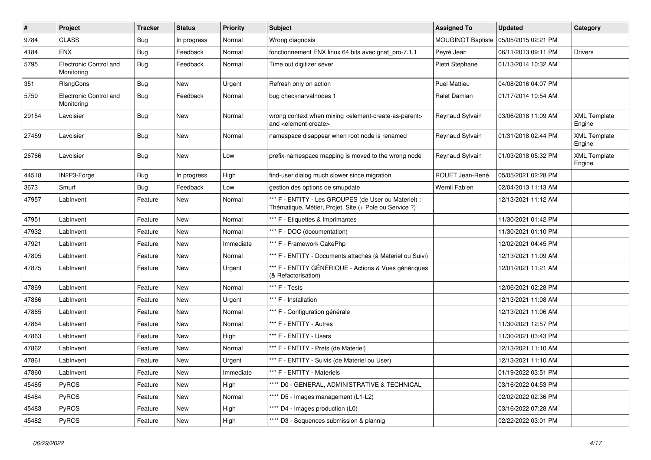| $\vert$ # | Project                              | <b>Tracker</b> | <b>Status</b> | <b>Priority</b> | <b>Subject</b>                                                                                                            | <b>Assigned To</b>       | <b>Updated</b>      | Category                      |
|-----------|--------------------------------------|----------------|---------------|-----------------|---------------------------------------------------------------------------------------------------------------------------|--------------------------|---------------------|-------------------------------|
| 9784      | <b>CLASS</b>                         | <b>Bug</b>     | In progress   | Normal          | Wrong diagnosis                                                                                                           | <b>MOUGINOT Baptiste</b> | 05/05/2015 02:21 PM |                               |
| 4184      | <b>ENX</b>                           | <b>Bug</b>     | Feedback      | Normal          | fonctionnement ENX linux 64 bits avec gnat_pro-7.1.1                                                                      | Peyré Jean               | 06/11/2013 09:11 PM | <b>Drivers</b>                |
| 5795      | Electronic Control and<br>Monitoring | <b>Bug</b>     | Feedback      | Normal          | Time out digitizer sever                                                                                                  | Pietri Stephane          | 01/13/2014 10:32 AM |                               |
| 351       | RIsngCons                            | <b>Bug</b>     | <b>New</b>    | Urgent          | Refresh only on action                                                                                                    | <b>Puel Mattieu</b>      | 04/08/2016 04:07 PM |                               |
| 5759      | Electronic Control and<br>Monitoring | <b>Bug</b>     | Feedback      | Normal          | bug checknarvalnodes 1                                                                                                    | Ralet Damian             | 01/17/2014 10:54 AM |                               |
| 29154     | Lavoisier                            | <b>Bug</b>     | New           | Normal          | wrong context when mixing <element-create-as-parent><br/>and <element-create></element-create></element-create-as-parent> | Reynaud Sylvain          | 03/06/2018 11:09 AM | <b>XML Template</b><br>Engine |
| 27459     | Lavoisier                            | <b>Bug</b>     | <b>New</b>    | Normal          | namespace disappear when root node is renamed                                                                             | Reynaud Sylvain          | 01/31/2018 02:44 PM | <b>XML Template</b><br>Engine |
| 26766     | Lavoisier                            | <b>Bug</b>     | New           | Low             | prefix-namespace mapping is moved to the wrong node                                                                       | Reynaud Sylvain          | 01/03/2018 05:32 PM | <b>XML Template</b><br>Engine |
| 44518     | IN2P3-Forge                          | <b>Bug</b>     | In progress   | High            | find-user dialog much slower since migration                                                                              | ROUET Jean-René          | 05/05/2021 02:28 PM |                               |
| 3673      | Smurf                                | <b>Bug</b>     | Feedback      | Low             | gestion des options de smupdate                                                                                           | Wernli Fabien            | 02/04/2013 11:13 AM |                               |
| 47957     | LabInvent                            | Feature        | New           | Normal          | *** F - ENTITY - Les GROUPES (de User ou Materiel) :<br>Thématique, Métier, Projet, Site (+ Pole ou Service ?)            |                          | 12/13/2021 11:12 AM |                               |
| 47951     | LabInvent                            | Feature        | <b>New</b>    | Normal          | *** F - Etiquettes & Imprimantes                                                                                          |                          | 11/30/2021 01:42 PM |                               |
| 47932     | LabInvent                            | Feature        | New           | Normal          | *** F - DOC (documentation)                                                                                               |                          | 11/30/2021 01:10 PM |                               |
| 47921     | LabInvent                            | Feature        | New           | Immediate       | *** F - Framework CakePhp                                                                                                 |                          | 12/02/2021 04:45 PM |                               |
| 47895     | LabInvent                            | Feature        | New           | Normal          | *** F - ENTITY - Documents attachés (à Materiel ou Suivi)                                                                 |                          | 12/13/2021 11:09 AM |                               |
| 47875     | LabInvent                            | Feature        | New           | Urgent          | *** F - ENTITY GÉNÉRIQUE - Actions & Vues génériques<br>(& Refactorisation)                                               |                          | 12/01/2021 11:21 AM |                               |
| 47869     | LabInvent                            | Feature        | New           | Normal          | *** F - Tests                                                                                                             |                          | 12/06/2021 02:28 PM |                               |
| 47866     | LabInvent                            | Feature        | New           | Urgent          | *** F - Installation                                                                                                      |                          | 12/13/2021 11:08 AM |                               |
| 47865     | LabInvent                            | Feature        | New           | Normal          | *** F - Configuration générale                                                                                            |                          | 12/13/2021 11:06 AM |                               |
| 47864     | LabInvent                            | Feature        | New           | Normal          | *** F - ENTITY - Autres                                                                                                   |                          | 11/30/2021 12:57 PM |                               |
| 47863     | LabInvent                            | Feature        | New           | High            | *** F - ENTITY - Users                                                                                                    |                          | 11/30/2021 03:43 PM |                               |
| 47862     | LabInvent                            | Feature        | New           | Normal          | *** F - ENTITY - Prets (de Materiel)                                                                                      |                          | 12/13/2021 11:10 AM |                               |
| 47861     | LabInvent                            | Feature        | New           | Urgent          | *** F - ENTITY - Suivis (de Materiel ou User)                                                                             |                          | 12/13/2021 11:10 AM |                               |
| 47860     | LabInvent                            | Feature        | New           | Immediate       | *** F - ENTITY - Materiels                                                                                                |                          | 01/19/2022 03:51 PM |                               |
| 45485     | PyROS                                | Feature        | New           | High            | **** D0 - GENERAL, ADMINISTRATIVE & TECHNICAL                                                                             |                          | 03/16/2022 04:53 PM |                               |
| 45484     | PyROS                                | Feature        | New           | Normal          | **** D5 - Images management (L1-L2)                                                                                       |                          | 02/02/2022 02:36 PM |                               |
| 45483     | PyROS                                | Feature        | New           | High            | **** D4 - Images production (L0)                                                                                          |                          | 03/16/2022 07:28 AM |                               |
| 45482     | PyROS                                | Feature        | New           | High            | **** D3 - Sequences submission & plannig                                                                                  |                          | 02/22/2022 03:01 PM |                               |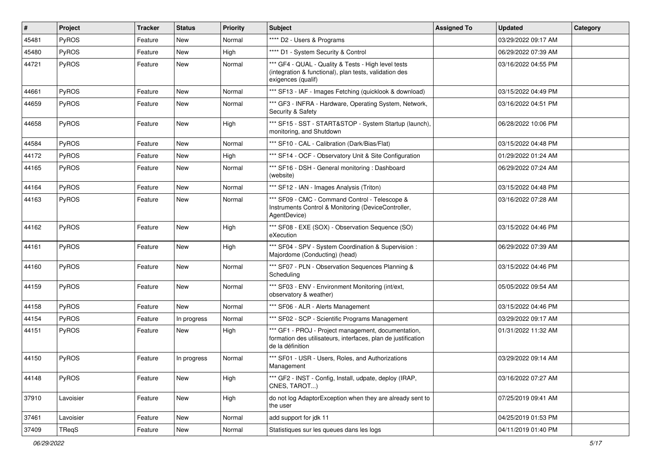| $\vert$ # | Project   | <b>Tracker</b> | <b>Status</b> | <b>Priority</b> | <b>Subject</b>                                                                                                                           | <b>Assigned To</b> | <b>Updated</b>      | Category |
|-----------|-----------|----------------|---------------|-----------------|------------------------------------------------------------------------------------------------------------------------------------------|--------------------|---------------------|----------|
| 45481     | PyROS     | Feature        | New           | Normal          | **** D2 - Users & Programs                                                                                                               |                    | 03/29/2022 09:17 AM |          |
| 45480     | PyROS     | Feature        | <b>New</b>    | High            | **** D1 - System Security & Control                                                                                                      |                    | 06/29/2022 07:39 AM |          |
| 44721     | PyROS     | Feature        | <b>New</b>    | Normal          | *** GF4 - QUAL - Quality & Tests - High level tests<br>(integration & functional), plan tests, validation des<br>exigences (qualif)      |                    | 03/16/2022 04:55 PM |          |
| 44661     | PyROS     | Feature        | <b>New</b>    | Normal          | *** SF13 - IAF - Images Fetching (quicklook & download)                                                                                  |                    | 03/15/2022 04:49 PM |          |
| 44659     | PyROS     | Feature        | New           | Normal          | *** GF3 - INFRA - Hardware, Operating System, Network,<br>Security & Safety                                                              |                    | 03/16/2022 04:51 PM |          |
| 44658     | PyROS     | Feature        | New           | High            | *** SF15 - SST - START&STOP - System Startup (launch),<br>monitoring, and Shutdown                                                       |                    | 06/28/2022 10:06 PM |          |
| 44584     | PyROS     | Feature        | <b>New</b>    | Normal          | *** SF10 - CAL - Calibration (Dark/Bias/Flat)                                                                                            |                    | 03/15/2022 04:48 PM |          |
| 44172     | PyROS     | Feature        | New           | High            | *** SF14 - OCF - Observatory Unit & Site Configuration                                                                                   |                    | 01/29/2022 01:24 AM |          |
| 44165     | PyROS     | Feature        | New           | Normal          | *** SF16 - DSH - General monitoring: Dashboard<br>(website)                                                                              |                    | 06/29/2022 07:24 AM |          |
| 44164     | PyROS     | Feature        | New           | Normal          | *** SF12 - IAN - Images Analysis (Triton)                                                                                                |                    | 03/15/2022 04:48 PM |          |
| 44163     | PyROS     | Feature        | <b>New</b>    | Normal          | *** SF09 - CMC - Command Control - Telescope &<br>Instruments Control & Monitoring (DeviceController,<br>AgentDevice)                    |                    | 03/16/2022 07:28 AM |          |
| 44162     | PyROS     | Feature        | <b>New</b>    | High            | *** SF08 - EXE (SOX) - Observation Sequence (SO)<br>eXecution                                                                            |                    | 03/15/2022 04:46 PM |          |
| 44161     | PyROS     | Feature        | <b>New</b>    | High            | *** SF04 - SPV - System Coordination & Supervision :<br>Majordome (Conducting) (head)                                                    |                    | 06/29/2022 07:39 AM |          |
| 44160     | PyROS     | Feature        | New           | Normal          | *** SF07 - PLN - Observation Sequences Planning &<br>Scheduling                                                                          |                    | 03/15/2022 04:46 PM |          |
| 44159     | PyROS     | Feature        | <b>New</b>    | Normal          | *** SF03 - ENV - Environment Monitoring (int/ext,<br>observatory & weather)                                                              |                    | 05/05/2022 09:54 AM |          |
| 44158     | PyROS     | Feature        | <b>New</b>    | Normal          | *** SF06 - ALR - Alerts Management                                                                                                       |                    | 03/15/2022 04:46 PM |          |
| 44154     | PyROS     | Feature        | In progress   | Normal          | *** SF02 - SCP - Scientific Programs Management                                                                                          |                    | 03/29/2022 09:17 AM |          |
| 44151     | PyROS     | Feature        | New           | High            | *** GF1 - PROJ - Project management, documentation,<br>formation des utilisateurs, interfaces, plan de justification<br>de la définition |                    | 01/31/2022 11:32 AM |          |
| 44150     | PyROS     | Feature        | In progress   | Normal          | *** SF01 - USR - Users, Roles, and Authorizations<br>Management                                                                          |                    | 03/29/2022 09:14 AM |          |
| 44148     | PyROS     | Feature        | New           | High            | *** GF2 - INST - Config, Install, udpate, deploy (IRAP,<br>CNES, TAROT)                                                                  |                    | 03/16/2022 07:27 AM |          |
| 37910     | Lavoisier | Feature        | New           | High            | do not log AdaptorException when they are already sent to<br>the user                                                                    |                    | 07/25/2019 09:41 AM |          |
| 37461     | Lavoisier | Feature        | New           | Normal          | add support for jdk 11                                                                                                                   |                    | 04/25/2019 01:53 PM |          |
| 37409     | TReqS     | Feature        | New           | Normal          | Statistiques sur les queues dans les logs                                                                                                |                    | 04/11/2019 01:40 PM |          |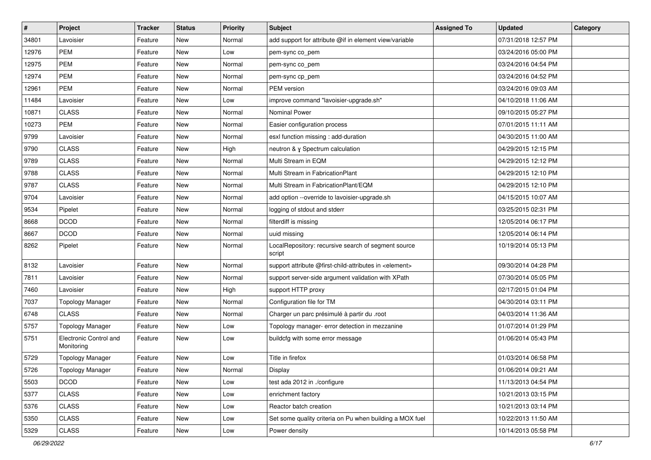| $\pmb{\#}$ | Project                              | <b>Tracker</b> | <b>Status</b> | <b>Priority</b> | <b>Subject</b>                                                   | <b>Assigned To</b> | <b>Updated</b>      | Category |
|------------|--------------------------------------|----------------|---------------|-----------------|------------------------------------------------------------------|--------------------|---------------------|----------|
| 34801      | Lavoisier                            | Feature        | New           | Normal          | add support for attribute @if in element view/variable           |                    | 07/31/2018 12:57 PM |          |
| 12976      | <b>PEM</b>                           | Feature        | <b>New</b>    | Low             | pem-sync co_pem                                                  |                    | 03/24/2016 05:00 PM |          |
| 12975      | <b>PEM</b>                           | Feature        | New           | Normal          | pem-sync co_pem                                                  |                    | 03/24/2016 04:54 PM |          |
| 12974      | <b>PEM</b>                           | Feature        | New           | Normal          | pem-sync cp_pem                                                  |                    | 03/24/2016 04:52 PM |          |
| 12961      | <b>PEM</b>                           | Feature        | New           | Normal          | PEM version                                                      |                    | 03/24/2016 09:03 AM |          |
| 11484      | Lavoisier                            | Feature        | New           | Low             | improve command "lavoisier-upgrade.sh"                           |                    | 04/10/2018 11:06 AM |          |
| 10871      | <b>CLASS</b>                         | Feature        | <b>New</b>    | Normal          | <b>Nominal Power</b>                                             |                    | 09/10/2015 05:27 PM |          |
| 10273      | <b>PEM</b>                           | Feature        | New           | Normal          | Easier configuration process                                     |                    | 07/01/2015 11:11 AM |          |
| 9799       | Lavoisier                            | Feature        | <b>New</b>    | Normal          | esxl function missing : add-duration                             |                    | 04/30/2015 11:00 AM |          |
| 9790       | <b>CLASS</b>                         | Feature        | New           | High            | neutron & y Spectrum calculation                                 |                    | 04/29/2015 12:15 PM |          |
| 9789       | <b>CLASS</b>                         | Feature        | <b>New</b>    | Normal          | Multi Stream in EQM                                              |                    | 04/29/2015 12:12 PM |          |
| 9788       | <b>CLASS</b>                         | Feature        | New           | Normal          | Multi Stream in FabricationPlant                                 |                    | 04/29/2015 12:10 PM |          |
| 9787       | <b>CLASS</b>                         | Feature        | New           | Normal          | Multi Stream in FabricationPlant/EQM                             |                    | 04/29/2015 12:10 PM |          |
| 9704       | Lavoisier                            | Feature        | New           | Normal          | add option --override to lavoisier-upgrade.sh                    |                    | 04/15/2015 10:07 AM |          |
| 9534       | Pipelet                              | Feature        | <b>New</b>    | Normal          | logging of stdout and stderr                                     |                    | 03/25/2015 02:31 PM |          |
| 8668       | <b>DCOD</b>                          | Feature        | New           | Normal          | filterdiff is missing                                            |                    | 12/05/2014 06:17 PM |          |
| 8667       | <b>DCOD</b>                          | Feature        | New           | Normal          | uuid missing                                                     |                    | 12/05/2014 06:14 PM |          |
| 8262       | Pipelet                              | Feature        | <b>New</b>    | Normal          | LocalRepository: recursive search of segment source<br>script    |                    | 10/19/2014 05:13 PM |          |
| 8132       | Lavoisier                            | Feature        | <b>New</b>    | Normal          | support attribute @first-child-attributes in <element></element> |                    | 09/30/2014 04:28 PM |          |
| 7811       | Lavoisier                            | Feature        | New           | Normal          | support server-side argument validation with XPath               |                    | 07/30/2014 05:05 PM |          |
| 7460       | Lavoisier                            | Feature        | New           | High            | support HTTP proxy                                               |                    | 02/17/2015 01:04 PM |          |
| 7037       | <b>Topology Manager</b>              | Feature        | <b>New</b>    | Normal          | Configuration file for TM                                        |                    | 04/30/2014 03:11 PM |          |
| 6748       | <b>CLASS</b>                         | Feature        | New           | Normal          | Charger un parc présimulé à partir du .root                      |                    | 04/03/2014 11:36 AM |          |
| 5757       | <b>Topology Manager</b>              | Feature        | New           | Low             | Topology manager- error detection in mezzanine                   |                    | 01/07/2014 01:29 PM |          |
| 5751       | Electronic Control and<br>Monitoring | Feature        | <b>New</b>    | Low             | buildcfg with some error message                                 |                    | 01/06/2014 05:43 PM |          |
| 5729       | <b>Topology Manager</b>              | Feature        | <b>New</b>    | Low             | Title in firefox                                                 |                    | 01/03/2014 06:58 PM |          |
| 5726       | <b>Topology Manager</b>              | Feature        | New           | Normal          | Display                                                          |                    | 01/06/2014 09:21 AM |          |
| 5503       | <b>DCOD</b>                          | Feature        | New           | Low             | test ada 2012 in ./configure                                     |                    | 11/13/2013 04:54 PM |          |
| 5377       | <b>CLASS</b>                         | Feature        | New           | Low             | enrichment factory                                               |                    | 10/21/2013 03:15 PM |          |
| 5376       | <b>CLASS</b>                         | Feature        | New           | Low             | Reactor batch creation                                           |                    | 10/21/2013 03:14 PM |          |
| 5350       | <b>CLASS</b>                         | Feature        | New           | Low             | Set some quality criteria on Pu when building a MOX fuel         |                    | 10/22/2013 11:50 AM |          |
| 5329       | CLASS                                | Feature        | New           | Low             | Power density                                                    |                    | 10/14/2013 05:58 PM |          |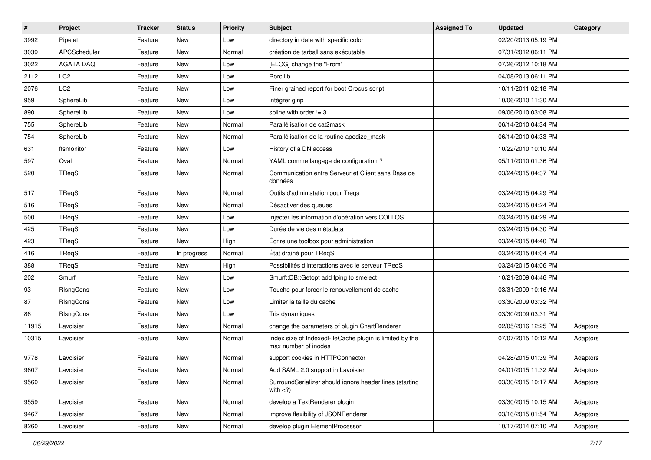| $\sharp$ | Project          | Tracker | <b>Status</b> | <b>Priority</b> | Subject                                                                         | <b>Assigned To</b> | <b>Updated</b>      | Category |
|----------|------------------|---------|---------------|-----------------|---------------------------------------------------------------------------------|--------------------|---------------------|----------|
| 3992     | Pipelet          | Feature | New           | Low             | directory in data with specific color                                           |                    | 02/20/2013 05:19 PM |          |
| 3039     | APCScheduler     | Feature | <b>New</b>    | Normal          | création de tarball sans exécutable                                             |                    | 07/31/2012 06:11 PM |          |
| 3022     | <b>AGATA DAO</b> | Feature | New           | Low             | [ELOG] change the "From"                                                        |                    | 07/26/2012 10:18 AM |          |
| 2112     | LC <sub>2</sub>  | Feature | New           | Low             | Rorc lib                                                                        |                    | 04/08/2013 06:11 PM |          |
| 2076     | LC <sub>2</sub>  | Feature | <b>New</b>    | Low             | Finer grained report for boot Crocus script                                     |                    | 10/11/2011 02:18 PM |          |
| 959      | SphereLib        | Feature | <b>New</b>    | Low             | intégrer ginp                                                                   |                    | 10/06/2010 11:30 AM |          |
| 890      | SphereLib        | Feature | <b>New</b>    | Low             | spline with order $!= 3$                                                        |                    | 09/06/2010 03:08 PM |          |
| 755      | SphereLib        | Feature | New           | Normal          | Parallélisation de cat2mask                                                     |                    | 06/14/2010 04:34 PM |          |
| 754      | SphereLib        | Feature | New           | Normal          | Parallélisation de la routine apodize_mask                                      |                    | 06/14/2010 04:33 PM |          |
| 631      | ftsmonitor       | Feature | <b>New</b>    | Low             | History of a DN access                                                          |                    | 10/22/2010 10:10 AM |          |
| 597      | Oval             | Feature | New           | Normal          | YAML comme langage de configuration?                                            |                    | 05/11/2010 01:36 PM |          |
| 520      | TReqS            | Feature | New           | Normal          | Communication entre Serveur et Client sans Base de<br>données                   |                    | 03/24/2015 04:37 PM |          |
| 517      | TReqS            | Feature | New           | Normal          | Outils d'administation pour Treqs                                               |                    | 03/24/2015 04:29 PM |          |
| 516      | TReqS            | Feature | New           | Normal          | Désactiver des queues                                                           |                    | 03/24/2015 04:24 PM |          |
| 500      | TReqS            | Feature | New           | Low             | Injecter les information d'opération vers COLLOS                                |                    | 03/24/2015 04:29 PM |          |
| 425      | TReqS            | Feature | New           | Low             | Durée de vie des métadata                                                       |                    | 03/24/2015 04:30 PM |          |
| 423      | TReqS            | Feature | <b>New</b>    | High            | Écrire une toolbox pour administration                                          |                    | 03/24/2015 04:40 PM |          |
| 416      | TReqS            | Feature | In progress   | Normal          | État drainé pour TReqS                                                          |                    | 03/24/2015 04:04 PM |          |
| 388      | TReqS            | Feature | <b>New</b>    | High            | Possibilités d'interactions avec le serveur TReqS                               |                    | 03/24/2015 04:06 PM |          |
| 202      | Smurf            | Feature | New           | Low             | Smurf::DB::Getopt add fping to smelect                                          |                    | 10/21/2009 04:46 PM |          |
| 93       | RIsngCons        | Feature | New           | Low             | Touche pour forcer le renouvellement de cache                                   |                    | 03/31/2009 10:16 AM |          |
| 87       | RIsngCons        | Feature | <b>New</b>    | Low             | Limiter la taille du cache                                                      |                    | 03/30/2009 03:32 PM |          |
| 86       | RIsngCons        | Feature | New           | Low             | Tris dynamiques                                                                 |                    | 03/30/2009 03:31 PM |          |
| 11915    | Lavoisier        | Feature | New           | Normal          | change the parameters of plugin ChartRenderer                                   |                    | 02/05/2016 12:25 PM | Adaptors |
| 10315    | Lavoisier        | Feature | New           | Normal          | Index size of IndexedFileCache plugin is limited by the<br>max number of inodes |                    | 07/07/2015 10:12 AM | Adaptors |
| 9778     | Lavoisier        | Feature | New           | Normal          | support cookies in HTTPConnector                                                |                    | 04/28/2015 01:39 PM | Adaptors |
| 9607     | Lavoisier        | Feature | New           | Normal          | Add SAML 2.0 support in Lavoisier                                               |                    | 04/01/2015 11:32 AM | Adaptors |
| 9560     | Lavoisier        | Feature | New           | Normal          | SurroundSerializer should ignore header lines (starting<br>with $<$ ?)          |                    | 03/30/2015 10:17 AM | Adaptors |
| 9559     | Lavoisier        | Feature | New           | Normal          | develop a TextRenderer plugin                                                   |                    | 03/30/2015 10:15 AM | Adaptors |
| 9467     | Lavoisier        | Feature | New           | Normal          | improve flexibility of JSONRenderer                                             |                    | 03/16/2015 01:54 PM | Adaptors |
| 8260     | Lavoisier        | Feature | New           | Normal          | develop plugin ElementProcessor                                                 |                    | 10/17/2014 07:10 PM | Adaptors |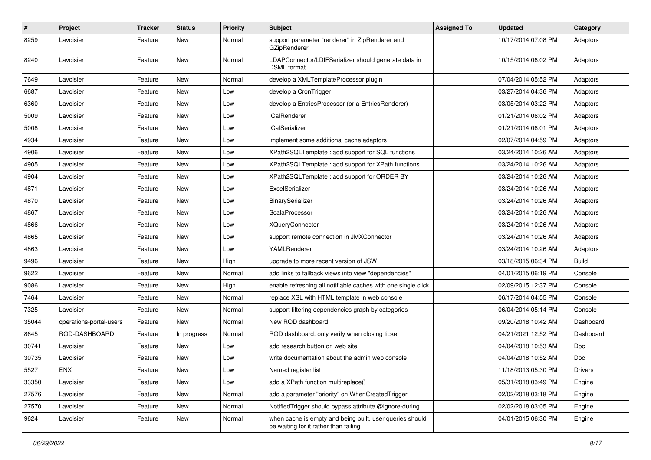| $\pmb{\#}$ | Project                 | <b>Tracker</b> | <b>Status</b> | <b>Priority</b> | <b>Subject</b>                                                                                    | <b>Assigned To</b> | <b>Updated</b>      | Category     |
|------------|-------------------------|----------------|---------------|-----------------|---------------------------------------------------------------------------------------------------|--------------------|---------------------|--------------|
| 8259       | Lavoisier               | Feature        | New           | Normal          | support parameter "renderer" in ZipRenderer and<br>GZipRenderer                                   |                    | 10/17/2014 07:08 PM | Adaptors     |
| 8240       | Lavoisier               | Feature        | New           | Normal          | LDAPConnector/LDIFSerializer should generate data in<br><b>DSML</b> format                        |                    | 10/15/2014 06:02 PM | Adaptors     |
| 7649       | Lavoisier               | Feature        | New           | Normal          | develop a XMLTemplateProcessor plugin                                                             |                    | 07/04/2014 05:52 PM | Adaptors     |
| 6687       | Lavoisier               | Feature        | New           | Low             | develop a CronTrigger                                                                             |                    | 03/27/2014 04:36 PM | Adaptors     |
| 6360       | Lavoisier               | Feature        | New           | Low             | develop a EntriesProcessor (or a EntriesRenderer)                                                 |                    | 03/05/2014 03:22 PM | Adaptors     |
| 5009       | Lavoisier               | Feature        | New           | Low             | <b>ICalRenderer</b>                                                                               |                    | 01/21/2014 06:02 PM | Adaptors     |
| 5008       | Lavoisier               | Feature        | New           | Low             | <b>ICalSerializer</b>                                                                             |                    | 01/21/2014 06:01 PM | Adaptors     |
| 4934       | Lavoisier               | Feature        | New           | Low             | implement some additional cache adaptors                                                          |                    | 02/07/2014 04:59 PM | Adaptors     |
| 4906       | Lavoisier               | Feature        | New           | Low             | XPath2SQLTemplate: add support for SQL functions                                                  |                    | 03/24/2014 10:26 AM | Adaptors     |
| 4905       | Lavoisier               | Feature        | New           | Low             | XPath2SQLTemplate : add support for XPath functions                                               |                    | 03/24/2014 10:26 AM | Adaptors     |
| 4904       | Lavoisier               | Feature        | New           | Low             | XPath2SQLTemplate : add support for ORDER BY                                                      |                    | 03/24/2014 10:26 AM | Adaptors     |
| 4871       | Lavoisier               | Feature        | New           | Low             | ExcelSerializer                                                                                   |                    | 03/24/2014 10:26 AM | Adaptors     |
| 4870       | Lavoisier               | Feature        | New           | Low             | BinarySerializer                                                                                  |                    | 03/24/2014 10:26 AM | Adaptors     |
| 4867       | Lavoisier               | Feature        | New           | Low             | ScalaProcessor                                                                                    |                    | 03/24/2014 10:26 AM | Adaptors     |
| 4866       | Lavoisier               | Feature        | New           | Low             | <b>XQueryConnector</b>                                                                            |                    | 03/24/2014 10:26 AM | Adaptors     |
| 4865       | Lavoisier               | Feature        | New           | Low             | support remote connection in JMXConnector                                                         |                    | 03/24/2014 10:26 AM | Adaptors     |
| 4863       | Lavoisier               | Feature        | New           | Low             | YAMLRenderer                                                                                      |                    | 03/24/2014 10:26 AM | Adaptors     |
| 9496       | Lavoisier               | Feature        | New           | High            | upgrade to more recent version of JSW                                                             |                    | 03/18/2015 06:34 PM | <b>Build</b> |
| 9622       | Lavoisier               | Feature        | New           | Normal          | add links to fallback views into view "dependencies"                                              |                    | 04/01/2015 06:19 PM | Console      |
| 9086       | Lavoisier               | Feature        | New           | High            | enable refreshing all notifiable caches with one single click                                     |                    | 02/09/2015 12:37 PM | Console      |
| 7464       | Lavoisier               | Feature        | New           | Normal          | replace XSL with HTML template in web console                                                     |                    | 06/17/2014 04:55 PM | Console      |
| 7325       | Lavoisier               | Feature        | New           | Normal          | support filtering dependencies graph by categories                                                |                    | 06/04/2014 05:14 PM | Console      |
| 35044      | operations-portal-users | Feature        | <b>New</b>    | Normal          | New ROD dashboard                                                                                 |                    | 09/20/2018 10:42 AM | Dashboard    |
| 8645       | ROD-DASHBOARD           | Feature        | In progress   | Normal          | ROD dashboard: only verify when closing ticket                                                    |                    | 04/21/2021 12:52 PM | Dashboard    |
| 30741      | Lavoisier               | Feature        | New           | Low             | add research button on web site                                                                   |                    | 04/04/2018 10:53 AM | Doc          |
| 30735      | Lavoisier               | Feature        | New           | Low             | write documentation about the admin web console                                                   |                    | 04/04/2018 10:52 AM | Doc          |
| 5527       | ENX                     | Feature        | New           | Low             | Named register list                                                                               |                    | 11/18/2013 05:30 PM | Drivers      |
| 33350      | Lavoisier               | Feature        | New           | Low             | add a XPath function multireplace()                                                               |                    | 05/31/2018 03:49 PM | Engine       |
| 27576      | Lavoisier               | Feature        | New           | Normal          | add a parameter "priority" on WhenCreatedTrigger                                                  |                    | 02/02/2018 03:18 PM | Engine       |
| 27570      | Lavoisier               | Feature        | New           | Normal          | Notified Trigger should bypass attribute @ignore-during                                           |                    | 02/02/2018 03:05 PM | Engine       |
| 9624       | Lavoisier               | Feature        | New           | Normal          | when cache is empty and being built, user queries should<br>be waiting for it rather than failing |                    | 04/01/2015 06:30 PM | Engine       |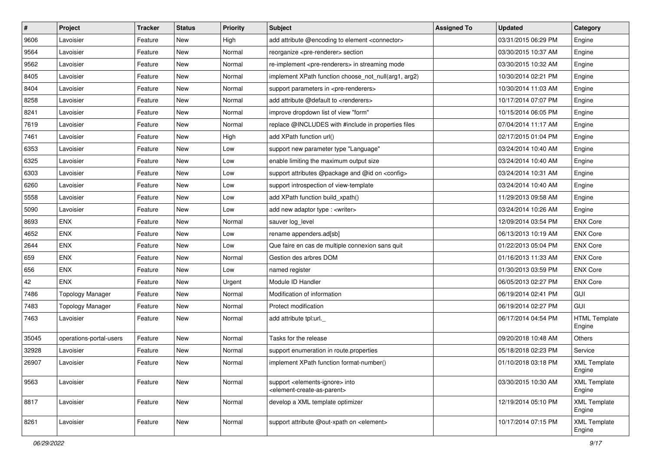| $\vert$ # | Project                 | <b>Tracker</b> | <b>Status</b> | <b>Priority</b> | Subject                                                                                                    | <b>Assigned To</b> | <b>Updated</b>      | Category                       |
|-----------|-------------------------|----------------|---------------|-----------------|------------------------------------------------------------------------------------------------------------|--------------------|---------------------|--------------------------------|
| 9606      | Lavoisier               | Feature        | New           | High            | add attribute @encoding to element <connector></connector>                                                 |                    | 03/31/2015 06:29 PM | Engine                         |
| 9564      | Lavoisier               | Feature        | New           | Normal          | reorganize <pre-renderer> section</pre-renderer>                                                           |                    | 03/30/2015 10:37 AM | Engine                         |
| 9562      | Lavoisier               | Feature        | New           | Normal          | re-implement <pre-renderers> in streaming mode</pre-renderers>                                             |                    | 03/30/2015 10:32 AM | Engine                         |
| 8405      | Lavoisier               | Feature        | New           | Normal          | implement XPath function choose not null(arg1, arg2)                                                       |                    | 10/30/2014 02:21 PM | Engine                         |
| 8404      | Lavoisier               | Feature        | New           | Normal          | support parameters in <pre-renderers></pre-renderers>                                                      |                    | 10/30/2014 11:03 AM | Engine                         |
| 8258      | Lavoisier               | Feature        | New           | Normal          | add attribute @default to <renderers></renderers>                                                          |                    | 10/17/2014 07:07 PM | Engine                         |
| 8241      | Lavoisier               | Feature        | New           | Normal          | improve dropdown list of view "form"                                                                       |                    | 10/15/2014 06:05 PM | Engine                         |
| 7619      | Lavoisier               | Feature        | New           | Normal          | replace @INCLUDES with #include in properties files                                                        |                    | 07/04/2014 11:17 AM | Engine                         |
| 7461      | Lavoisier               | Feature        | New           | High            | add XPath function url()                                                                                   |                    | 02/17/2015 01:04 PM | Engine                         |
| 6353      | Lavoisier               | Feature        | New           | Low             | support new parameter type "Language"                                                                      |                    | 03/24/2014 10:40 AM | Engine                         |
| 6325      | Lavoisier               | Feature        | New           | Low             | enable limiting the maximum output size                                                                    |                    | 03/24/2014 10:40 AM | Engine                         |
| 6303      | Lavoisier               | Feature        | New           | Low             | support attributes @package and @id on <config></config>                                                   |                    | 03/24/2014 10:31 AM | Engine                         |
| 6260      | Lavoisier               | Feature        | New           | Low             | support introspection of view-template                                                                     |                    | 03/24/2014 10:40 AM | Engine                         |
| 5558      | Lavoisier               | Feature        | New           | Low             | add XPath function build_xpath()                                                                           |                    | 11/29/2013 09:58 AM | Engine                         |
| 5090      | Lavoisier               | Feature        | New           | Low             | add new adaptor type : <writer></writer>                                                                   |                    | 03/24/2014 10:26 AM | Engine                         |
| 8693      | <b>ENX</b>              | Feature        | New           | Normal          | sauver log_level                                                                                           |                    | 12/09/2014 03:54 PM | <b>ENX Core</b>                |
| 4652      | <b>ENX</b>              | Feature        | New           | Low             | rename appenders.ad[sb]                                                                                    |                    | 06/13/2013 10:19 AM | <b>ENX Core</b>                |
| 2644      | <b>ENX</b>              | Feature        | New           | Low             | Que faire en cas de multiple connexion sans quit                                                           |                    | 01/22/2013 05:04 PM | <b>ENX Core</b>                |
| 659       | <b>ENX</b>              | Feature        | New           | Normal          | Gestion des arbres DOM                                                                                     |                    | 01/16/2013 11:33 AM | <b>ENX Core</b>                |
| 656       | <b>ENX</b>              | Feature        | New           | Low             | named register                                                                                             |                    | 01/30/2013 03:59 PM | <b>ENX Core</b>                |
| 42        | <b>ENX</b>              | Feature        | New           | Urgent          | Module ID Handler                                                                                          |                    | 06/05/2013 02:27 PM | <b>ENX Core</b>                |
| 7486      | <b>Topology Manager</b> | Feature        | New           | Normal          | Modification of information                                                                                |                    | 06/19/2014 02:41 PM | GUI                            |
| 7483      | <b>Topology Manager</b> | Feature        | New           | Normal          | Protect modification                                                                                       |                    | 06/19/2014 02:27 PM | GUI                            |
| 7463      | Lavoisier               | Feature        | New           | Normal          | add attribute tpl:url._                                                                                    |                    | 06/17/2014 04:54 PM | <b>HTML Template</b><br>Engine |
| 35045     | operations-portal-users | Feature        | New           | Normal          | Tasks for the release                                                                                      |                    | 09/20/2018 10:48 AM | Others                         |
| 32928     | Lavoisier               | Feature        | New           | Normal          | support enumeration in route properties                                                                    |                    | 05/18/2018 02:23 PM | Service                        |
| 26907     | Lavoisier               | Feature        | New           | Normal          | implement XPath function format-number()                                                                   |                    | 01/10/2018 03:18 PM | <b>XML Template</b><br>Engine  |
| 9563      | Lavoisier               | Feature        | New           | Normal          | support <elements-ignore> into<br/><element-create-as-parent></element-create-as-parent></elements-ignore> |                    | 03/30/2015 10:30 AM | <b>XML Template</b><br>Engine  |
| 8817      | Lavoisier               | Feature        | New           | Normal          | develop a XML template optimizer                                                                           |                    | 12/19/2014 05:10 PM | <b>XML Template</b><br>Engine  |
| 8261      | Lavoisier               | Feature        | New           | Normal          | support attribute @out-xpath on <element></element>                                                        |                    | 10/17/2014 07:15 PM | <b>XML Template</b><br>Engine  |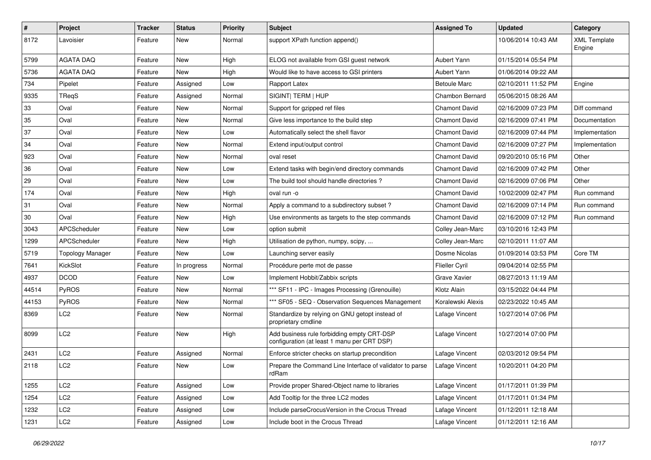| $\pmb{\#}$ | Project                 | <b>Tracker</b> | <b>Status</b> | <b>Priority</b> | <b>Subject</b>                                                                            | <b>Assigned To</b>    | <b>Updated</b>      | Category                      |
|------------|-------------------------|----------------|---------------|-----------------|-------------------------------------------------------------------------------------------|-----------------------|---------------------|-------------------------------|
| 8172       | Lavoisier               | Feature        | New           | Normal          | support XPath function append()                                                           |                       | 10/06/2014 10:43 AM | <b>XML Template</b><br>Engine |
| 5799       | <b>AGATA DAQ</b>        | Feature        | <b>New</b>    | High            | ELOG not available from GSI guest network                                                 | Aubert Yann           | 01/15/2014 05:54 PM |                               |
| 5736       | <b>AGATA DAQ</b>        | Feature        | New           | High            | Would like to have access to GSI printers                                                 | Aubert Yann           | 01/06/2014 09:22 AM |                               |
| 734        | Pipelet                 | Feature        | Assigned      | Low             | Rapport Latex                                                                             | <b>Betoule Marc</b>   | 02/10/2011 11:52 PM | Engine                        |
| 9335       | TReqS                   | Feature        | Assigned      | Normal          | SIGINT  TERM   HUP                                                                        | Chambon Bernard       | 05/06/2015 08:26 AM |                               |
| 33         | Oval                    | Feature        | New           | Normal          | Support for gzipped ref files                                                             | <b>Chamont David</b>  | 02/16/2009 07:23 PM | Diff command                  |
| 35         | Oval                    | Feature        | New           | Normal          | Give less importance to the build step                                                    | <b>Chamont David</b>  | 02/16/2009 07:41 PM | Documentation                 |
| 37         | Oval                    | Feature        | New           | Low             | Automatically select the shell flavor                                                     | <b>Chamont David</b>  | 02/16/2009 07:44 PM | Implementation                |
| 34         | Oval                    | Feature        | <b>New</b>    | Normal          | Extend input/output control                                                               | <b>Chamont David</b>  | 02/16/2009 07:27 PM | Implementation                |
| 923        | Oval                    | Feature        | New           | Normal          | oval reset                                                                                | <b>Chamont David</b>  | 09/20/2010 05:16 PM | Other                         |
| 36         | Oval                    | Feature        | <b>New</b>    | Low             | Extend tasks with begin/end directory commands                                            | <b>Chamont David</b>  | 02/16/2009 07:42 PM | Other                         |
| 29         | Oval                    | Feature        | New           | Low             | The build tool should handle directories?                                                 | <b>Chamont David</b>  | 02/16/2009 07:06 PM | Other                         |
| 174        | Oval                    | Feature        | New           | High            | oval run -o                                                                               | <b>Chamont David</b>  | 10/02/2009 02:47 PM | Run command                   |
| 31         | Oval                    | Feature        | <b>New</b>    | Normal          | Apply a command to a subdirectory subset?                                                 | <b>Chamont David</b>  | 02/16/2009 07:14 PM | Run command                   |
| 30         | Oval                    | Feature        | New           | High            | Use environments as targets to the step commands                                          | <b>Chamont David</b>  | 02/16/2009 07:12 PM | Run command                   |
| 3043       | APCScheduler            | Feature        | New           | Low             | option submit                                                                             | Colley Jean-Marc      | 03/10/2016 12:43 PM |                               |
| 1299       | APCScheduler            | Feature        | New           | High            | Utilisation de python, numpy, scipy,                                                      | Colley Jean-Marc      | 02/10/2011 11:07 AM |                               |
| 5719       | <b>Topology Manager</b> | Feature        | New           | Low             | Launching server easily                                                                   | Dosme Nicolas         | 01/09/2014 03:53 PM | Core TM                       |
| 7641       | KickSlot                | Feature        | In progress   | Normal          | Procédure perte mot de passe                                                              | <b>Flieller Cyril</b> | 09/04/2014 02:55 PM |                               |
| 4937       | <b>DCOD</b>             | Feature        | New           | Low             | Implement Hobbit/Zabbix scripts                                                           | Grave Xavier          | 08/27/2013 11:19 AM |                               |
| 44514      | PyROS                   | Feature        | New           | Normal          | *** SF11 - IPC - Images Processing (Grenouille)                                           | Klotz Alain           | 03/15/2022 04:44 PM |                               |
| 44153      | PyROS                   | Feature        | <b>New</b>    | Normal          | *** SF05 - SEQ - Observation Sequences Management                                         | Koralewski Alexis     | 02/23/2022 10:45 AM |                               |
| 8369       | LC2                     | Feature        | New           | Normal          | Standardize by relying on GNU getopt instead of<br>proprietary cmdline                    | Lafage Vincent        | 10/27/2014 07:06 PM |                               |
| 8099       | LC <sub>2</sub>         | Feature        | New           | High            | Add business rule forbidding empty CRT-DSP<br>configuration (at least 1 manu per CRT DSP) | Lafage Vincent        | 10/27/2014 07:00 PM |                               |
| 2431       | LC <sub>2</sub>         | Feature        | Assigned      | Normal          | Enforce stricter checks on startup precondition                                           | Lafage Vincent        | 02/03/2012 09:54 PM |                               |
| 2118       | LC <sub>2</sub>         | Feature        | New           | Low             | Prepare the Command Line Interface of validator to parse<br>rdRam                         | Lafage Vincent        | 10/20/2011 04:20 PM |                               |
| 1255       | LC <sub>2</sub>         | Feature        | Assigned      | Low             | Provide proper Shared-Object name to libraries                                            | Lafage Vincent        | 01/17/2011 01:39 PM |                               |
| 1254       | LC <sub>2</sub>         | Feature        | Assigned      | Low             | Add Tooltip for the three LC2 modes                                                       | Lafage Vincent        | 01/17/2011 01:34 PM |                               |
| 1232       | LC <sub>2</sub>         | Feature        | Assigned      | Low             | Include parseCrocusVersion in the Crocus Thread                                           | Lafage Vincent        | 01/12/2011 12:18 AM |                               |
| 1231       | LC <sub>2</sub>         | Feature        | Assigned      | Low             | Include boot in the Crocus Thread                                                         | Lafage Vincent        | 01/12/2011 12:16 AM |                               |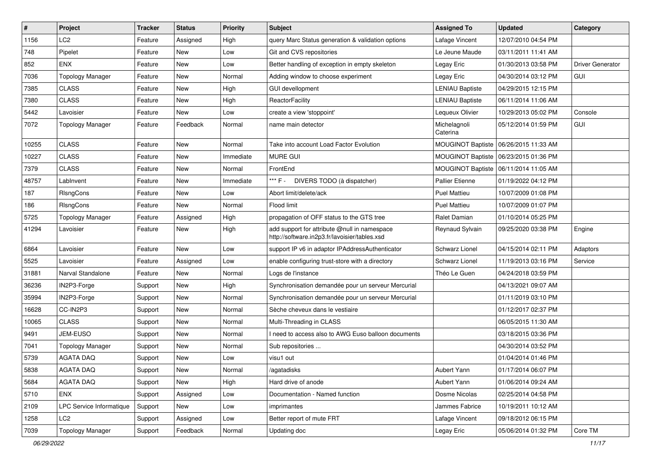| $\pmb{\#}$ | Project                  | <b>Tracker</b> | <b>Status</b> | <b>Priority</b> | Subject                                                                                       | <b>Assigned To</b>       | <b>Updated</b>                          | Category                |
|------------|--------------------------|----------------|---------------|-----------------|-----------------------------------------------------------------------------------------------|--------------------------|-----------------------------------------|-------------------------|
| 1156       | LC <sub>2</sub>          | Feature        | Assigned      | High            | query Marc Status generation & validation options                                             | Lafage Vincent           | 12/07/2010 04:54 PM                     |                         |
| 748        | Pipelet                  | Feature        | New           | Low             | Git and CVS repositories                                                                      | Le Jeune Maude           | 03/11/2011 11:41 AM                     |                         |
| 852        | <b>ENX</b>               | Feature        | New           | Low             | Better handling of exception in empty skeleton                                                | Legay Eric               | 01/30/2013 03:58 PM                     | <b>Driver Generator</b> |
| 7036       | <b>Topology Manager</b>  | Feature        | New           | Normal          | Adding window to choose experiment                                                            | Legay Eric               | 04/30/2014 03:12 PM                     | GUI                     |
| 7385       | <b>CLASS</b>             | Feature        | New           | High            | <b>GUI devellopment</b>                                                                       | <b>LENIAU Baptiste</b>   | 04/29/2015 12:15 PM                     |                         |
| 7380       | <b>CLASS</b>             | Feature        | New           | High            | ReactorFacility                                                                               | <b>LENIAU Baptiste</b>   | 06/11/2014 11:06 AM                     |                         |
| 5442       | Lavoisier                | Feature        | New           | Low             | create a view 'stoppoint'                                                                     | Lequeux Olivier          | 10/29/2013 05:02 PM                     | Console                 |
| 7072       | <b>Topology Manager</b>  | Feature        | Feedback      | Normal          | name main detector                                                                            | Michelagnoli<br>Caterina | 05/12/2014 01:59 PM                     | GUI                     |
| 10255      | <b>CLASS</b>             | Feature        | <b>New</b>    | Normal          | Take into account Load Factor Evolution                                                       |                          | MOUGINOT Baptiste   06/26/2015 11:33 AM |                         |
| 10227      | <b>CLASS</b>             | Feature        | New           | Immediate       | <b>MURE GUI</b>                                                                               |                          | MOUGINOT Baptiste   06/23/2015 01:36 PM |                         |
| 7379       | <b>CLASS</b>             | Feature        | New           | Normal          | FrontEnd                                                                                      |                          | MOUGINOT Baptiste   06/11/2014 11:05 AM |                         |
| 48757      | LabInvent                | Feature        | New           | Immediate       | *** F -<br>DIVERS TODO (à dispatcher)                                                         | <b>Pallier Etienne</b>   | 01/19/2022 04:12 PM                     |                         |
| 187        | RIsngCons                | Feature        | New           | Low             | Abort limit/delete/ack                                                                        | <b>Puel Mattieu</b>      | 10/07/2009 01:08 PM                     |                         |
| 186        | RIsngCons                | Feature        | <b>New</b>    | Normal          | Flood limit                                                                                   | <b>Puel Mattieu</b>      | 10/07/2009 01:07 PM                     |                         |
| 5725       | <b>Topology Manager</b>  | Feature        | Assigned      | High            | propagation of OFF status to the GTS tree                                                     | Ralet Damian             | 01/10/2014 05:25 PM                     |                         |
| 41294      | Lavoisier                | Feature        | New           | High            | add support for attribute @null in namespace<br>http://software.in2p3.fr/lavoisier/tables.xsd | <b>Reynaud Sylvain</b>   | 09/25/2020 03:38 PM                     | Engine                  |
| 6864       | Lavoisier                | Feature        | New           | Low             | support IP v6 in adaptor IPAddressAuthenticator                                               | Schwarz Lionel           | 04/15/2014 02:11 PM                     | Adaptors                |
| 5525       | Lavoisier                | Feature        | Assigned      | Low             | enable configuring trust-store with a directory                                               | Schwarz Lionel           | 11/19/2013 03:16 PM                     | Service                 |
| 31881      | Narval Standalone        | Feature        | New           | Normal          | Logs de l'instance                                                                            | Théo Le Guen             | 04/24/2018 03:59 PM                     |                         |
| 36236      | IN2P3-Forge              | Support        | New           | High            | Synchronisation demandée pour un serveur Mercurial                                            |                          | 04/13/2021 09:07 AM                     |                         |
| 35994      | IN2P3-Forge              | Support        | New           | Normal          | Synchronisation demandée pour un serveur Mercurial                                            |                          | 01/11/2019 03:10 PM                     |                         |
| 16628      | CC-IN2P3                 | Support        | New           | Normal          | Sèche cheveux dans le vestiaire                                                               |                          | 01/12/2017 02:37 PM                     |                         |
| 10065      | <b>CLASS</b>             | Support        | New           | Normal          | Multi-Threading in CLASS                                                                      |                          | 06/05/2015 11:30 AM                     |                         |
| 9491       | JEM-EUSO                 | Support        | New           | Normal          | I need to access also to AWG Euso balloon documents                                           |                          | 03/18/2015 03:36 PM                     |                         |
| 7041       | <b>Topology Manager</b>  | Support        | New           | Normal          | Sub repositories                                                                              |                          | 04/30/2014 03:52 PM                     |                         |
| 5739       | <b>AGATA DAQ</b>         | Support        | New           | Low             | visu1 out                                                                                     |                          | 01/04/2014 01:46 PM                     |                         |
| 5838       | AGATA DAQ                | Support        | New           | Normal          | /agatadisks                                                                                   | Aubert Yann              | 01/17/2014 06:07 PM                     |                         |
| 5684       | AGATA DAQ                | Support        | New           | High            | Hard drive of anode                                                                           | Aubert Yann              | 01/06/2014 09:24 AM                     |                         |
| 5710       | <b>ENX</b>               | Support        | Assigned      | Low             | Documentation - Named function                                                                | Dosme Nicolas            | 02/25/2014 04:58 PM                     |                         |
| 2109       | LPC Service Informatique | Support        | New           | Low             | imprimantes                                                                                   | Jammes Fabrice           | 10/19/2011 10:12 AM                     |                         |
| 1258       | LC2                      | Support        | Assigned      | Low             | Better report of mute FRT                                                                     | Lafage Vincent           | 09/18/2012 06:15 PM                     |                         |
| 7039       | <b>Topology Manager</b>  | Support        | Feedback      | Normal          | Updating doc                                                                                  | Legay Eric               | 05/06/2014 01:32 PM                     | Core TM                 |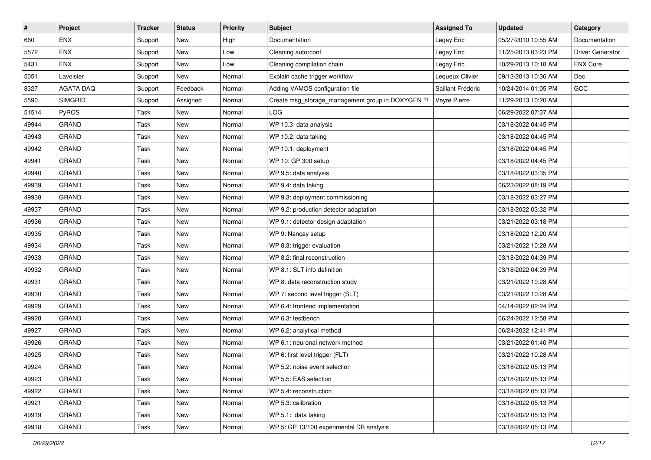| $\sharp$ | Project          | <b>Tracker</b> | <b>Status</b> | <b>Priority</b> | <b>Subject</b>                                    | <b>Assigned To</b> | <b>Updated</b>      | Category                |
|----------|------------------|----------------|---------------|-----------------|---------------------------------------------------|--------------------|---------------------|-------------------------|
| 660      | <b>ENX</b>       | Support        | New           | High            | Documentation                                     | Legay Eric         | 05/27/2010 10:55 AM | Documentation           |
| 5572     | ENX              | Support        | New           | Low             | Cleaning autorconf                                | Legay Eric         | 11/25/2013 03:23 PM | <b>Driver Generator</b> |
| 5431     | <b>ENX</b>       | Support        | New           | Low             | Cleaning compilation chain                        | Legay Eric         | 10/29/2013 10:18 AM | <b>ENX Core</b>         |
| 5051     | Lavoisier        | Support        | New           | Normal          | Explain cache trigger workflow                    | Lequeux Olivier    | 09/13/2013 10:36 AM | Doc                     |
| 8327     | <b>AGATA DAQ</b> | Support        | Feedback      | Normal          | Adding VAMOS configuration file                   | Saillant Frédéric  | 10/24/2014 01:05 PM | GCC                     |
| 5590     | <b>SIMGRID</b>   | Support        | Assigned      | Normal          | Create msg_storage_management group in DOXYGEN ?! | Veyre Pierre       | 11/29/2013 10:20 AM |                         |
| 51514    | PyROS            | Task           | <b>New</b>    | Normal          | LOG                                               |                    | 06/29/2022 07:37 AM |                         |
| 49944    | <b>GRAND</b>     | Task           | New           | Normal          | WP 10.3: data analysis                            |                    | 03/18/2022 04:45 PM |                         |
| 49943    | <b>GRAND</b>     | Task           | New           | Normal          | WP 10.2: data taking                              |                    | 03/18/2022 04:45 PM |                         |
| 49942    | <b>GRAND</b>     | Task           | New           | Normal          | WP 10.1: deployment                               |                    | 03/18/2022 04:45 PM |                         |
| 49941    | <b>GRAND</b>     | Task           | New           | Normal          | WP 10: GP 300 setup                               |                    | 03/18/2022 04:45 PM |                         |
| 49940    | <b>GRAND</b>     | Task           | New           | Normal          | WP 9.5: data analysis                             |                    | 03/18/2022 03:35 PM |                         |
| 49939    | <b>GRAND</b>     | Task           | New           | Normal          | WP 9.4: data taking                               |                    | 06/23/2022 08:19 PM |                         |
| 49938    | <b>GRAND</b>     | Task           | New           | Normal          | WP 9.3: deployment commissioning                  |                    | 03/18/2022 03:27 PM |                         |
| 49937    | <b>GRAND</b>     | Task           | New           | Normal          | WP 9.2: production detector adaptation            |                    | 03/18/2022 03:32 PM |                         |
| 49936    | <b>GRAND</b>     | Task           | New           | Normal          | WP 9.1: detector design adaptation                |                    | 03/21/2022 03:18 PM |                         |
| 49935    | <b>GRAND</b>     | Task           | New           | Normal          | WP 9: Nançay setup                                |                    | 03/18/2022 12:20 AM |                         |
| 49934    | <b>GRAND</b>     | Task           | New           | Normal          | WP 8.3: trigger evaluation                        |                    | 03/21/2022 10:28 AM |                         |
| 49933    | <b>GRAND</b>     | Task           | New           | Normal          | WP 8.2: final reconstruction                      |                    | 03/18/2022 04:39 PM |                         |
| 49932    | <b>GRAND</b>     | Task           | New           | Normal          | WP 8.1: SLT info definition                       |                    | 03/18/2022 04:39 PM |                         |
| 49931    | <b>GRAND</b>     | Task           | New           | Normal          | WP 8: data reconstruction study                   |                    | 03/21/2022 10:28 AM |                         |
| 49930    | <b>GRAND</b>     | Task           | New           | Normal          | WP 7: second level trigger (SLT)                  |                    | 03/21/2022 10:28 AM |                         |
| 49929    | <b>GRAND</b>     | Task           | New           | Normal          | WP 6.4: frontend implementation                   |                    | 04/14/2022 02:24 PM |                         |
| 49928    | <b>GRAND</b>     | Task           | New           | Normal          | WP 6.3: testbench                                 |                    | 06/24/2022 12:58 PM |                         |
| 49927    | <b>GRAND</b>     | Task           | New           | Normal          | WP 6.2: analytical method                         |                    | 06/24/2022 12:41 PM |                         |
| 49926    | <b>GRAND</b>     | Task           | New           | Normal          | WP 6.1: neuronal network method                   |                    | 03/21/2022 01:40 PM |                         |
| 49925    | <b>GRAND</b>     | Task           | New           | Normal          | WP 6: first level trigger (FLT)                   |                    | 03/21/2022 10:28 AM |                         |
| 49924    | <b>GRAND</b>     | Task           | New           | Normal          | WP 5.2: noise event selection                     |                    | 03/18/2022 05:13 PM |                         |
| 49923    | <b>GRAND</b>     | Task           | New           | Normal          | WP 5.5: EAS selection                             |                    | 03/18/2022 05:13 PM |                         |
| 49922    | <b>GRAND</b>     | Task           | New           | Normal          | WP 5.4: reconstruction                            |                    | 03/18/2022 05:13 PM |                         |
| 49921    | GRAND            | Task           | New           | Normal          | WP 5.3: calibration                               |                    | 03/18/2022 05:13 PM |                         |
| 49919    | <b>GRAND</b>     | Task           | New           | Normal          | WP 5.1: data taking                               |                    | 03/18/2022 05:13 PM |                         |
| 49918    | GRAND            | Task           | New           | Normal          | WP 5: GP 13/100 experimental DB analysis          |                    | 03/18/2022 05:13 PM |                         |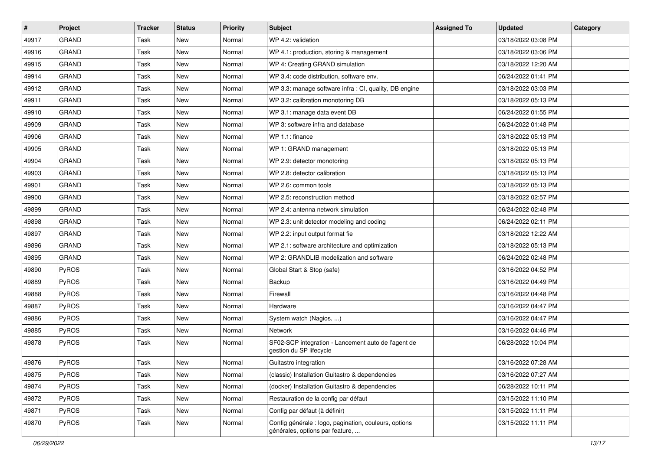| #     | Project      | <b>Tracker</b> | <b>Status</b> | <b>Priority</b> | <b>Subject</b>                                                                           | <b>Assigned To</b> | <b>Updated</b>      | Category |
|-------|--------------|----------------|---------------|-----------------|------------------------------------------------------------------------------------------|--------------------|---------------------|----------|
| 49917 | <b>GRAND</b> | Task           | <b>New</b>    | Normal          | WP 4.2: validation                                                                       |                    | 03/18/2022 03:08 PM |          |
| 49916 | <b>GRAND</b> | Task           | New           | Normal          | WP 4.1: production, storing & management                                                 |                    | 03/18/2022 03:06 PM |          |
| 49915 | <b>GRAND</b> | Task           | New           | Normal          | WP 4: Creating GRAND simulation                                                          |                    | 03/18/2022 12:20 AM |          |
| 49914 | <b>GRAND</b> | Task           | New           | Normal          | WP 3.4: code distribution, software env.                                                 |                    | 06/24/2022 01:41 PM |          |
| 49912 | <b>GRAND</b> | Task           | New           | Normal          | WP 3.3: manage software infra : CI, quality, DB engine                                   |                    | 03/18/2022 03:03 PM |          |
| 49911 | <b>GRAND</b> | Task           | New           | Normal          | WP 3.2: calibration monotoring DB                                                        |                    | 03/18/2022 05:13 PM |          |
| 49910 | <b>GRAND</b> | Task           | New           | Normal          | WP 3.1: manage data event DB                                                             |                    | 06/24/2022 01:55 PM |          |
| 49909 | <b>GRAND</b> | Task           | New           | Normal          | WP 3: software infra and database                                                        |                    | 06/24/2022 01:48 PM |          |
| 49906 | <b>GRAND</b> | Task           | New           | Normal          | WP 1.1: finance                                                                          |                    | 03/18/2022 05:13 PM |          |
| 49905 | <b>GRAND</b> | Task           | New           | Normal          | WP 1: GRAND management                                                                   |                    | 03/18/2022 05:13 PM |          |
| 49904 | <b>GRAND</b> | Task           | New           | Normal          | WP 2.9: detector monotoring                                                              |                    | 03/18/2022 05:13 PM |          |
| 49903 | <b>GRAND</b> | Task           | New           | Normal          | WP 2.8: detector calibration                                                             |                    | 03/18/2022 05:13 PM |          |
| 49901 | <b>GRAND</b> | Task           | New           | Normal          | WP 2.6: common tools                                                                     |                    | 03/18/2022 05:13 PM |          |
| 49900 | <b>GRAND</b> | Task           | <b>New</b>    | Normal          | WP 2.5: reconstruction method                                                            |                    | 03/18/2022 02:57 PM |          |
| 49899 | <b>GRAND</b> | Task           | New           | Normal          | WP 2.4: antenna network simulation                                                       |                    | 06/24/2022 02:48 PM |          |
| 49898 | <b>GRAND</b> | Task           | New           | Normal          | WP 2.3: unit detector modeling and coding                                                |                    | 06/24/2022 02:11 PM |          |
| 49897 | <b>GRAND</b> | Task           | New           | Normal          | WP 2.2: input output format fie                                                          |                    | 03/18/2022 12:22 AM |          |
| 49896 | <b>GRAND</b> | Task           | New           | Normal          | WP 2.1: software architecture and optimization                                           |                    | 03/18/2022 05:13 PM |          |
| 49895 | <b>GRAND</b> | Task           | New           | Normal          | WP 2: GRANDLIB modelization and software                                                 |                    | 06/24/2022 02:48 PM |          |
| 49890 | PyROS        | Task           | New           | Normal          | Global Start & Stop (safe)                                                               |                    | 03/16/2022 04:52 PM |          |
| 49889 | PyROS        | Task           | New           | Normal          | Backup                                                                                   |                    | 03/16/2022 04:49 PM |          |
| 49888 | PyROS        | Task           | New           | Normal          | Firewall                                                                                 |                    | 03/16/2022 04:48 PM |          |
| 49887 | PyROS        | Task           | New           | Normal          | Hardware                                                                                 |                    | 03/16/2022 04:47 PM |          |
| 49886 | PyROS        | Task           | New           | Normal          | System watch (Nagios, )                                                                  |                    | 03/16/2022 04:47 PM |          |
| 49885 | PyROS        | Task           | New           | Normal          | <b>Network</b>                                                                           |                    | 03/16/2022 04:46 PM |          |
| 49878 | PyROS        | Task           | New           | Normal          | SF02-SCP integration - Lancement auto de l'agent de<br>gestion du SP lifecycle           |                    | 06/28/2022 10:04 PM |          |
| 49876 | PyROS        | Task           | New           | Normal          | Guitastro integration                                                                    |                    | 03/16/2022 07:28 AM |          |
| 49875 | PyROS        | Task           | New           | Normal          | (classic) Installation Guitastro & dependencies                                          |                    | 03/16/2022 07:27 AM |          |
| 49874 | PyROS        | Task           | New           | Normal          | (docker) Installation Guitastro & dependencies                                           |                    | 06/28/2022 10:11 PM |          |
| 49872 | PyROS        | Task           | New           | Normal          | Restauration de la config par défaut                                                     |                    | 03/15/2022 11:10 PM |          |
| 49871 | PyROS        | Task           | New           | Normal          | Config par défaut (à définir)                                                            |                    | 03/15/2022 11:11 PM |          |
| 49870 | PyROS        | Task           | New           | Normal          | Config générale : logo, pagination, couleurs, options<br>générales, options par feature, |                    | 03/15/2022 11:11 PM |          |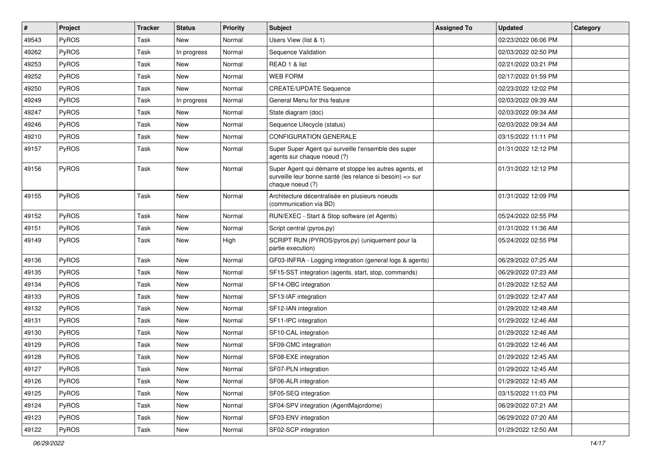| $\pmb{\#}$ | <b>Project</b> | <b>Tracker</b> | <b>Status</b> | <b>Priority</b> | Subject                                                                                                                                  | <b>Assigned To</b> | <b>Updated</b>      | Category |
|------------|----------------|----------------|---------------|-----------------|------------------------------------------------------------------------------------------------------------------------------------------|--------------------|---------------------|----------|
| 49543      | PyROS          | Task           | <b>New</b>    | Normal          | Users View (list & 1)                                                                                                                    |                    | 02/23/2022 06:06 PM |          |
| 49262      | PyROS          | Task           | In progress   | Normal          | Sequence Validation                                                                                                                      |                    | 02/03/2022 02:50 PM |          |
| 49253      | PyROS          | Task           | New           | Normal          | READ 1 & list                                                                                                                            |                    | 02/21/2022 03:21 PM |          |
| 49252      | PyROS          | Task           | <b>New</b>    | Normal          | <b>WEB FORM</b>                                                                                                                          |                    | 02/17/2022 01:59 PM |          |
| 49250      | PyROS          | Task           | <b>New</b>    | Normal          | <b>CREATE/UPDATE Sequence</b>                                                                                                            |                    | 02/23/2022 12:02 PM |          |
| 49249      | PyROS          | Task           | In progress   | Normal          | General Menu for this feature                                                                                                            |                    | 02/03/2022 09:39 AM |          |
| 49247      | PyROS          | Task           | New           | Normal          | State diagram (doc)                                                                                                                      |                    | 02/03/2022 09:34 AM |          |
| 49246      | PyROS          | Task           | <b>New</b>    | Normal          | Sequence Lifecycle (status)                                                                                                              |                    | 02/03/2022 09:34 AM |          |
| 49210      | PyROS          | Task           | <b>New</b>    | Normal          | <b>CONFIGURATION GENERALE</b>                                                                                                            |                    | 03/15/2022 11:11 PM |          |
| 49157      | PyROS          | Task           | <b>New</b>    | Normal          | Super Super Agent qui surveille l'ensemble des super<br>agents sur chaque noeud (?)                                                      |                    | 01/31/2022 12:12 PM |          |
| 49156      | PyROS          | Task           | New           | Normal          | Super Agent qui démarre et stoppe les autres agents, et<br>surveille leur bonne santé (les relance si besoin) => sur<br>chaque noeud (?) |                    | 01/31/2022 12:12 PM |          |
| 49155      | PyROS          | Task           | New           | Normal          | Architecture décentralisée en plusieurs noeuds<br>(communication via BD)                                                                 |                    | 01/31/2022 12:09 PM |          |
| 49152      | PyROS          | Task           | <b>New</b>    | Normal          | RUN/EXEC - Start & Stop software (et Agents)                                                                                             |                    | 05/24/2022 02:55 PM |          |
| 49151      | PyROS          | Task           | <b>New</b>    | Normal          | Script central (pyros.py)                                                                                                                |                    | 01/31/2022 11:36 AM |          |
| 49149      | PyROS          | Task           | <b>New</b>    | High            | SCRIPT RUN (PYROS/pyros.py) (uniquement pour la<br>partie execution)                                                                     |                    | 05/24/2022 02:55 PM |          |
| 49136      | PyROS          | Task           | <b>New</b>    | Normal          | GF03-INFRA - Logging integration (general logs & agents)                                                                                 |                    | 06/29/2022 07:25 AM |          |
| 49135      | PyROS          | Task           | <b>New</b>    | Normal          | SF15-SST integration (agents, start, stop, commands)                                                                                     |                    | 06/29/2022 07:23 AM |          |
| 49134      | PyROS          | Task           | <b>New</b>    | Normal          | SF14-OBC integration                                                                                                                     |                    | 01/29/2022 12:52 AM |          |
| 49133      | PyROS          | Task           | <b>New</b>    | Normal          | SF13-IAF integration                                                                                                                     |                    | 01/29/2022 12:47 AM |          |
| 49132      | PyROS          | Task           | <b>New</b>    | Normal          | SF12-IAN integration                                                                                                                     |                    | 01/29/2022 12:48 AM |          |
| 49131      | PyROS          | Task           | <b>New</b>    | Normal          | SF11-IPC integration                                                                                                                     |                    | 01/29/2022 12:46 AM |          |
| 49130      | PyROS          | Task           | New           | Normal          | SF10-CAL integration                                                                                                                     |                    | 01/29/2022 12:46 AM |          |
| 49129      | PyROS          | Task           | <b>New</b>    | Normal          | SF09-CMC integration                                                                                                                     |                    | 01/29/2022 12:46 AM |          |
| 49128      | PyROS          | Task           | <b>New</b>    | Normal          | SF08-EXE integration                                                                                                                     |                    | 01/29/2022 12:45 AM |          |
| 49127      | PyROS          | Task           | New           | Normal          | SF07-PLN integration                                                                                                                     |                    | 01/29/2022 12:45 AM |          |
| 49126      | PyROS          | Task           | <b>New</b>    | Normal          | SF06-ALR integration                                                                                                                     |                    | 01/29/2022 12:45 AM |          |
| 49125      | PyROS          | Task           | New           | Normal          | SF05-SEQ integration                                                                                                                     |                    | 03/15/2022 11:03 PM |          |
| 49124      | PyROS          | Task           | New           | Normal          | SF04-SPV integration (AgentMajordome)                                                                                                    |                    | 06/29/2022 07:21 AM |          |
| 49123      | PyROS          | Task           | New           | Normal          | SF03-ENV integration                                                                                                                     |                    | 06/29/2022 07:20 AM |          |
| 49122      | PyROS          | Task           | New           | Normal          | SF02-SCP integration                                                                                                                     |                    | 01/29/2022 12:50 AM |          |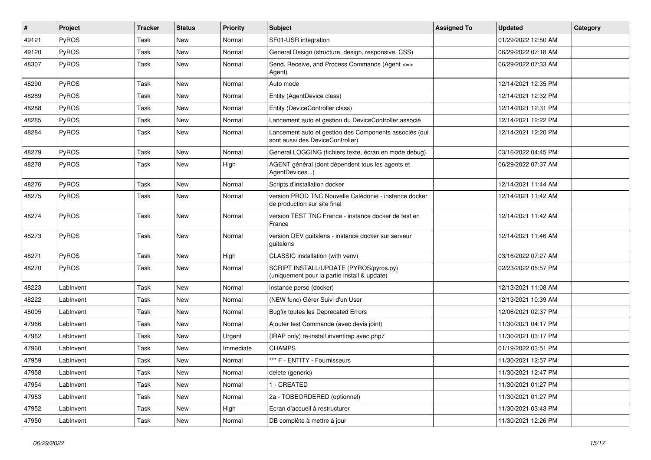| $\sharp$ | Project      | <b>Tracker</b> | <b>Status</b> | <b>Priority</b> | <b>Subject</b>                                                                             | <b>Assigned To</b> | <b>Updated</b>      | Category |
|----------|--------------|----------------|---------------|-----------------|--------------------------------------------------------------------------------------------|--------------------|---------------------|----------|
| 49121    | PyROS        | Task           | New           | Normal          | SF01-USR integration                                                                       |                    | 01/29/2022 12:50 AM |          |
| 49120    | PyROS        | Task           | <b>New</b>    | Normal          | General Design (structure, design, responsive, CSS)                                        |                    | 06/29/2022 07:18 AM |          |
| 48307    | <b>PyROS</b> | Task           | <b>New</b>    | Normal          | Send, Receive, and Process Commands (Agent <=><br>Agent)                                   |                    | 06/29/2022 07:33 AM |          |
| 48290    | PyROS        | Task           | <b>New</b>    | Normal          | Auto mode                                                                                  |                    | 12/14/2021 12:35 PM |          |
| 48289    | <b>PyROS</b> | Task           | <b>New</b>    | Normal          | Entity (AgentDevice class)                                                                 |                    | 12/14/2021 12:32 PM |          |
| 48288    | PyROS        | Task           | New           | Normal          | Entity (DeviceController class)                                                            |                    | 12/14/2021 12:31 PM |          |
| 48285    | PyROS        | Task           | <b>New</b>    | Normal          | Lancement auto et gestion du DeviceController associé                                      |                    | 12/14/2021 12:22 PM |          |
| 48284    | PyROS        | Task           | <b>New</b>    | Normal          | Lancement auto et gestion des Components associés (qui<br>sont aussi des DeviceController) |                    | 12/14/2021 12:20 PM |          |
| 48279    | PyROS        | Task           | <b>New</b>    | Normal          | General LOGGING (fichiers texte, écran en mode debug)                                      |                    | 03/16/2022 04:45 PM |          |
| 48278    | PyROS        | Task           | New           | High            | AGENT général (dont dépendent tous les agents et<br>AgentDevices)                          |                    | 06/29/2022 07:37 AM |          |
| 48276    | <b>PyROS</b> | Task           | <b>New</b>    | Normal          | Scripts d'installation docker                                                              |                    | 12/14/2021 11:44 AM |          |
| 48275    | PyROS        | Task           | New           | Normal          | version PROD TNC Nouvelle Calédonie - instance docker<br>de production sur site final      |                    | 12/14/2021 11:42 AM |          |
| 48274    | PyROS        | Task           | <b>New</b>    | Normal          | version TEST TNC France - instance docker de test en<br>France                             |                    | 12/14/2021 11:42 AM |          |
| 48273    | PyROS        | Task           | <b>New</b>    | Normal          | version DEV guitalens - instance docker sur serveur<br>guitalens                           |                    | 12/14/2021 11:46 AM |          |
| 48271    | PyROS        | Task           | <b>New</b>    | High            | CLASSIC installation (with venv)                                                           |                    | 03/16/2022 07:27 AM |          |
| 48270    | <b>PyROS</b> | Task           | <b>New</b>    | Normal          | SCRIPT INSTALL/UPDATE (PYROS/pyros.py)<br>(uniquement pour la partie install & update)     |                    | 02/23/2022 05:57 PM |          |
| 48223    | LabInvent    | Task           | <b>New</b>    | Normal          | instance perso (docker)                                                                    |                    | 12/13/2021 11:08 AM |          |
| 48222    | LabInvent    | Task           | <b>New</b>    | Normal          | (NEW func) Gérer Suivi d'un User                                                           |                    | 12/13/2021 10:39 AM |          |
| 48005    | LabInvent    | Task           | <b>New</b>    | Normal          | <b>Bugfix toutes les Deprecated Errors</b>                                                 |                    | 12/06/2021 02:37 PM |          |
| 47966    | LabInvent    | Task           | New           | Normal          | Ajouter test Commande (avec devis joint)                                                   |                    | 11/30/2021 04:17 PM |          |
| 47962    | LabInvent    | Task           | <b>New</b>    | Urgent          | (IRAP only) re-install inventirap avec php7                                                |                    | 11/30/2021 03:17 PM |          |
| 47960    | LabInvent    | Task           | <b>New</b>    | Immediate       | <b>CHAMPS</b>                                                                              |                    | 01/19/2022 03:51 PM |          |
| 47959    | LabInvent    | Task           | New           | Normal          | *** F - ENTITY - Fournisseurs                                                              |                    | 11/30/2021 12:57 PM |          |
| 47958    | LabInvent    | Task           | New           | Normal          | delete (generic)                                                                           |                    | 11/30/2021 12:47 PM |          |
| 47954    | LabInvent    | Task           | New           | Normal          | 1 - CREATED                                                                                |                    | 11/30/2021 01:27 PM |          |
| 47953    | LabInvent    | Task           | New           | Normal          | 2a - TOBEORDERED (optionnel)                                                               |                    | 11/30/2021 01:27 PM |          |
| 47952    | LabInvent    | Task           | New           | High            | Ecran d'accueil à restructurer                                                             |                    | 11/30/2021 03:43 PM |          |
| 47950    | LabInvent    | Task           | New           | Normal          | DB complète à mettre à jour                                                                |                    | 11/30/2021 12:26 PM |          |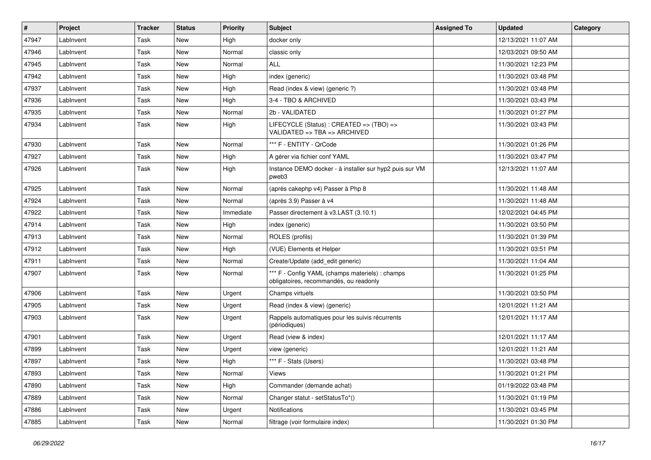| #     | Project   | <b>Tracker</b> | <b>Status</b> | <b>Priority</b> | <b>Subject</b>                                                                            | <b>Assigned To</b> | <b>Updated</b>      | Category |
|-------|-----------|----------------|---------------|-----------------|-------------------------------------------------------------------------------------------|--------------------|---------------------|----------|
| 47947 | LabInvent | Task           | New           | High            | docker only                                                                               |                    | 12/13/2021 11:07 AM |          |
| 47946 | LabInvent | Task           | <b>New</b>    | Normal          | classic only                                                                              |                    | 12/03/2021 09:50 AM |          |
| 47945 | LabInvent | Task           | <b>New</b>    | Normal          | <b>ALL</b>                                                                                |                    | 11/30/2021 12:23 PM |          |
| 47942 | LabInvent | Task           | <b>New</b>    | High            | index (generic)                                                                           |                    | 11/30/2021 03:48 PM |          |
| 47937 | LabInvent | Task           | <b>New</b>    | High            | Read (index & view) (generic ?)                                                           |                    | 11/30/2021 03:48 PM |          |
| 47936 | LabInvent | Task           | <b>New</b>    | High            | 3-4 - TBO & ARCHIVED                                                                      |                    | 11/30/2021 03:43 PM |          |
| 47935 | LabInvent | Task           | <b>New</b>    | Normal          | 2b - VALIDATED                                                                            |                    | 11/30/2021 01:27 PM |          |
| 47934 | LabInvent | Task           | New           | High            | LIFECYCLE (Status) : CREATED => (TBO) =><br>VALIDATED => $TBA$ => $ARCHIVED$              |                    | 11/30/2021 03:43 PM |          |
| 47930 | LabInvent | Task           | <b>New</b>    | Normal          | *** F - ENTITY - QrCode                                                                   |                    | 11/30/2021 01:26 PM |          |
| 47927 | LabInvent | Task           | <b>New</b>    | High            | A gérer via fichier conf YAML                                                             |                    | 11/30/2021 03:47 PM |          |
| 47926 | LabInvent | Task           | New           | High            | Instance DEMO docker - à installer sur hyp2 puis sur VM<br>pweb3                          |                    | 12/13/2021 11:07 AM |          |
| 47925 | LabInvent | Task           | <b>New</b>    | Normal          | (après cakephp v4) Passer à Php 8                                                         |                    | 11/30/2021 11:48 AM |          |
| 47924 | LabInvent | Task           | <b>New</b>    | Normal          | (après 3.9) Passer à v4                                                                   |                    | 11/30/2021 11:48 AM |          |
| 47922 | LabInvent | Task           | New           | Immediate       | Passer directement à v3.LAST (3.10.1)                                                     |                    | 12/02/2021 04:45 PM |          |
| 47914 | LabInvent | Task           | <b>New</b>    | High            | index (generic)                                                                           |                    | 11/30/2021 03:50 PM |          |
| 47913 | LabInvent | Task           | <b>New</b>    | Normal          | ROLES (profils)                                                                           |                    | 11/30/2021 01:39 PM |          |
| 47912 | LabInvent | Task           | <b>New</b>    | High            | (VUE) Elements et Helper                                                                  |                    | 11/30/2021 03:51 PM |          |
| 47911 | LabInvent | Task           | <b>New</b>    | Normal          | Create/Update (add_edit generic)                                                          |                    | 11/30/2021 11:04 AM |          |
| 47907 | LabInvent | Task           | New           | Normal          | *** F - Config YAML (champs materiels) : champs<br>obligatoires, recommandés, ou readonly |                    | 11/30/2021 01:25 PM |          |
| 47906 | LabInvent | Task           | <b>New</b>    | Urgent          | Champs virtuels                                                                           |                    | 11/30/2021 03:50 PM |          |
| 47905 | LabInvent | Task           | New           | Urgent          | Read (index & view) (generic)                                                             |                    | 12/01/2021 11:21 AM |          |
| 47903 | LabInvent | Task           | New           | Urgent          | Rappels automatiques pour les suivis récurrents<br>(périodiques)                          |                    | 12/01/2021 11:17 AM |          |
| 47901 | LabInvent | Task           | <b>New</b>    | Urgent          | Read (view & index)                                                                       |                    | 12/01/2021 11:17 AM |          |
| 47899 | LabInvent | Task           | New           | Urgent          | view (generic)                                                                            |                    | 12/01/2021 11:21 AM |          |
| 47897 | LabInvent | Task           | New           | High            | *** F - Stats (Users)                                                                     |                    | 11/30/2021 03:48 PM |          |
| 47893 | LabInvent | Task           | New           | Normal          | Views                                                                                     |                    | 11/30/2021 01:21 PM |          |
| 47890 | LabInvent | Task           | New           | High            | Commander (demande achat)                                                                 |                    | 01/19/2022 03:48 PM |          |
| 47889 | LabInvent | Task           | New           | Normal          | Changer statut - setStatusTo*()                                                           |                    | 11/30/2021 01:19 PM |          |
| 47886 | LabInvent | Task           | New           | Urgent          | Notifications                                                                             |                    | 11/30/2021 03:45 PM |          |
| 47885 | LabInvent | Task           | New           | Normal          | filtrage (voir formulaire index)                                                          |                    | 11/30/2021 01:30 PM |          |